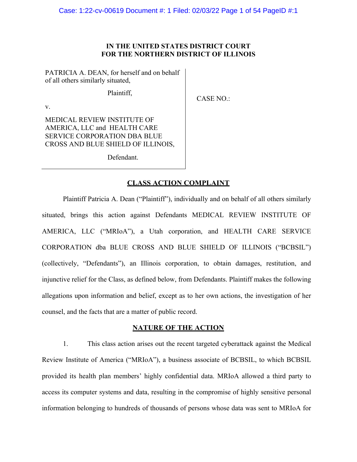## **IN THE UNITED STATES DISTRICT COURT FOR THE NORTHERN DISTRICT OF ILLINOIS**

PATRICIA A. DEAN, for herself and on behalf of all others similarly situated,

Plaintiff,

CASE NO.:

MEDICAL REVIEW INSTITUTE OF AMERICA, LLC and HEALTH CARE SERVICE CORPORATION DBA BLUE CROSS AND BLUE SHIELD OF ILLINOIS,

v.

Defendant.

## **CLASS ACTION COMPLAINT**

Plaintiff Patricia A. Dean ("Plaintiff"), individually and on behalf of all others similarly situated, brings this action against Defendants MEDICAL REVIEW INSTITUTE OF AMERICA, LLC ("MRIoA"), a Utah corporation, and HEALTH CARE SERVICE CORPORATION dba BLUE CROSS AND BLUE SHIELD OF ILLINOIS ("BCBSIL") (collectively, "Defendants"), an Illinois corporation, to obtain damages, restitution, and injunctive relief for the Class, as defined below, from Defendants. Plaintiff makes the following allegations upon information and belief, except as to her own actions, the investigation of her counsel, and the facts that are a matter of public record.

## **NATURE OF THE ACTION**

1. This class action arises out the recent targeted cyberattack against the Medical Review Institute of America ("MRIoA"), a business associate of BCBSIL, to which BCBSIL provided its health plan members' highly confidential data. MRIoA allowed a third party to access its computer systems and data, resulting in the compromise of highly sensitive personal information belonging to hundreds of thousands of persons whose data was sent to MRIoA for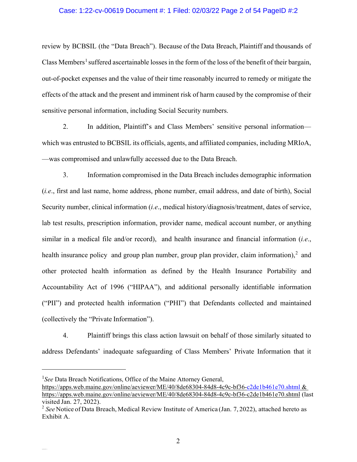### Case: 1:22-cv-00619 Document #: 1 Filed: 02/03/22 Page 2 of 54 PageID #:2

review by BCBSIL (the "Data Breach"). Because of the Data Breach, Plaintiff and thousands of Class Members<sup>[1](#page-1-0)</sup> suffered ascertainable losses in the form of the loss of the benefit of their bargain, out-of-pocket expenses and the value of their time reasonably incurred to remedy or mitigate the effects of the attack and the present and imminent risk of harm caused by the compromise of their sensitive personal information, including Social Security numbers.

2. In addition, Plaintiff's and Class Members' sensitive personal information which was entrusted to BCBSIL its officials, agents, and affiliated companies, including MRIoA, —was compromised and unlawfully accessed due to the Data Breach.

3. Information compromised in the Data Breach includes demographic information (*i.e*., first and last name, home address, phone number, email address, and date of birth), Social Security number, clinical information (*i.e*., medical history/diagnosis/treatment, dates of service, lab test results, prescription information, provider name, medical account number, or anything similar in a medical file and/or record), and health insurance and financial information (*i.e*., health insurance policy and group plan number, group plan provider, claim information),<sup>[2](#page-1-1)</sup> and other protected health information as defined by the Health Insurance Portability and Accountability Act of 1996 ("HIPAA"), and additional personally identifiable information ("PII") and protected health information ("PHI") that Defendants collected and maintained (collectively the "Private Information").

4. Plaintiff brings this class action lawsuit on behalf of those similarly situated to address Defendants' inadequate safeguarding of Class Members' Private Information that it

<span id="page-1-0"></span><sup>&</sup>lt;sup>1</sup>See Data Breach Notifications, Office of the Maine Attorney General,

<https://apps.web.maine.gov/online/aeviewer/ME/40/8de68304-84d8-4c9c-bf36-c2de1b461e70.shtml> & https://apps.web.maine.gov/online/aeviewer/ME/40/8de68304-84d8-4c9c-bf36-c2de1b461e70.shtml (last visited Jan. 27, 2022).

<span id="page-1-1"></span><sup>&</sup>lt;sup>2</sup> See Notice of Data Breach, Medical Review Institute of America (Jan. 7, 2022), attached hereto as Exhibit A.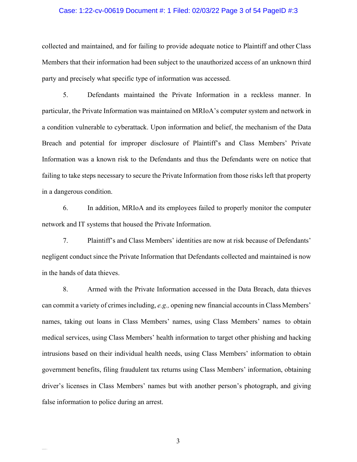#### Case: 1:22-cv-00619 Document #: 1 Filed: 02/03/22 Page 3 of 54 PageID #:3

collected and maintained, and for failing to provide adequate notice to Plaintiff and other Class Members that their information had been subject to the unauthorized access of an unknown third party and precisely what specific type of information was accessed.

5. Defendants maintained the Private Information in a reckless manner. In particular, the Private Information was maintained on MRIoA's computer system and network in a condition vulnerable to cyberattack. Upon information and belief, the mechanism of the Data Breach and potential for improper disclosure of Plaintiff's and Class Members' Private Information was a known risk to the Defendants and thus the Defendants were on notice that failing to take steps necessary to secure the Private Information from those risks left that property in a dangerous condition.

6. In addition, MRIoA and its employees failed to properly monitor the computer network and IT systems that housed the Private Information.

7. Plaintiff's and Class Members' identities are now at risk because of Defendants' negligent conduct since the Private Information that Defendants collected and maintained is now in the hands of data thieves.

8. Armed with the Private Information accessed in the Data Breach, data thieves can commit a variety of crimes including, *e.g.,* opening new financial accounts in Class Members' names, taking out loans in Class Members' names, using Class Members' names to obtain medical services, using Class Members' health information to target other phishing and hacking intrusions based on their individual health needs, using Class Members' information to obtain government benefits, filing fraudulent tax returns using Class Members' information, obtaining driver's licenses in Class Members' names but with another person's photograph, and giving false information to police during an arrest.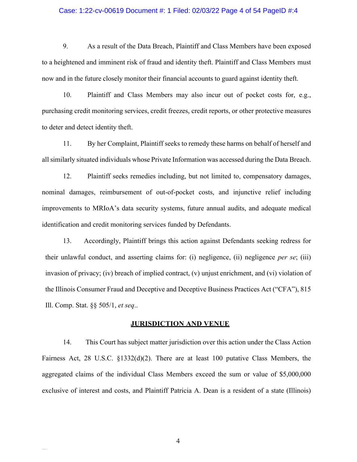#### Case: 1:22-cv-00619 Document #: 1 Filed: 02/03/22 Page 4 of 54 PageID #:4

9. As a result of the Data Breach, Plaintiff and Class Members have been exposed to a heightened and imminent risk of fraud and identity theft. Plaintiff and Class Members must now and in the future closely monitor their financial accounts to guard against identity theft.

10. Plaintiff and Class Members may also incur out of pocket costs for, e.g., purchasing credit monitoring services, credit freezes, credit reports, or other protective measures to deter and detect identity theft.

11. By her Complaint, Plaintiff seeks to remedy these harms on behalf of herself and allsimilarly situated individuals whose Private Information was accessed during the Data Breach.

12. Plaintiff seeks remedies including, but not limited to, compensatory damages, nominal damages, reimbursement of out-of-pocket costs, and injunctive relief including improvements to MRIoA's data security systems, future annual audits, and adequate medical identification and credit monitoring services funded by Defendants.

13. Accordingly, Plaintiff brings this action against Defendants seeking redress for their unlawful conduct, and asserting claims for: (i) negligence, (ii) negligence *per se*; (iii) invasion of privacy; (iv) breach of implied contract, (v) unjust enrichment, and (vi) violation of the Illinois Consumer Fraud and Deceptive and Deceptive Business Practices Act ("CFA"), 815 Ill. Comp. Stat. §§ 505/1, *et seq*..

#### **JURISDICTION AND VENUE**

14. This Court has subject matter jurisdiction over this action under the Class Action Fairness Act, 28 U.S.C. §1332(d)(2). There are at least 100 putative Class Members, the aggregated claims of the individual Class Members exceed the sum or value of \$5,000,000 exclusive of interest and costs, and Plaintiff Patricia A. Dean is a resident of a state (Illinois)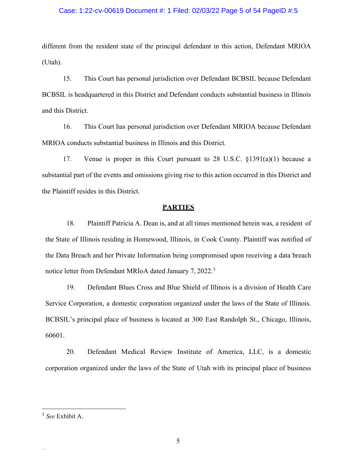### Case: 1:22-cv-00619 Document #: 1 Filed: 02/03/22 Page 5 of 54 PageID #:5

different from the resident state of the principal defendant in this action, Defendant MRIOA (Utah).

15. This Court has personal jurisdiction over Defendant BCBSIL because Defendant BCBSIL is headquartered in this District and Defendant conducts substantial business in Illinois and this District.

16. This Court has personal jurisdiction over Defendant MRIOA because Defendant MRIOA conducts substantial business in Illinois and this District.

17. Venue is proper in this Court pursuant to 28 U.S.C.  $\S 1391(a)(1)$  because a substantial part of the events and omissions giving rise to this action occurred in this District and the Plaintiff resides in this District.

#### **PARTIES**

18. Plaintiff Patricia A. Dean is, and at all times mentioned herein was, a resident of the State of Illinois residing in Homewood, Illinois, in Cook County. Plaintiff was notified of the Data Breach and her Private Information being compromised upon receiving a data breach notice letter from Defendant MRIoA dated January 7, 2022.<sup>[3](#page-4-0)</sup>

19. Defendant Blues Cross and Blue Shield of Illinois is a division of Health Care Service Corporation, a domestic corporation organized under the laws of the State of Illinois. BCBSIL's principal place of business is located at 300 East Randolph St., Chicago, Illinois, 60601.

20. Defendant Medical Review Institute of America, LLC, is a domestic corporation organized under the laws of the State of Utah with its principal place of business

<span id="page-4-0"></span><sup>3</sup> *See* Exhibit A.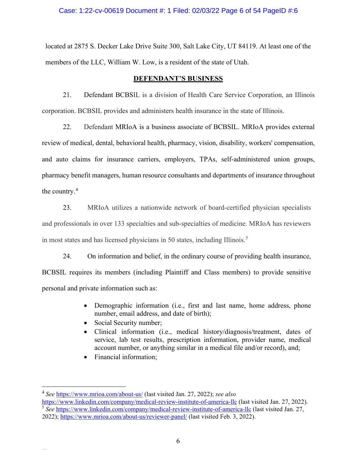### Case: 1:22-cv-00619 Document #: 1 Filed: 02/03/22 Page 6 of 54 PageID #:6

located at 2875 S. Decker Lake Drive Suite 300, Salt Lake City, UT 84119. At least one of the members of the LLC, William W. Low, is a resident of the state of Utah.

### **DEFENDANT'S BUSINESS**

21. Defendant BCBSIL is a division of Health Care Service Corporation, an Illinois corporation. BCBSIL provides and administers health insurance in the state of Illinois.

22. Defendant MRIoA is a business associate of BCBSIL. MRIoA provides external review of medical, dental, behavioral health, pharmacy, vision, disability, workers' compensation, and auto claims for insurance carriers, employers, TPAs, self-administered union groups, pharmacy benefit managers, human resource consultants and departments of insurance throughout the country.[4](#page-5-0)

23. MRIoA utilizes a nationwide network of board-certified physician specialists and professionals in over 133 specialties and sub-specialties of medicine. MRIoA has reviewers in most states and has licensed physicians in [5](#page-5-1)0 states, including Illinois.<sup>5</sup>

24. On information and belief, in the ordinary course of providing health insurance, BCBSIL requires its members (including Plaintiff and Class members) to provide sensitive personal and private information such as:

- Demographic information (i.e., first and last name, home address, phone number, email address, and date of birth);
- Social Security number;
- Clinical information (i.e., medical history/diagnosis/treatment, dates of service, lab test results, prescription information, provider name, medical account number, or anything similar in a medical file and/or record), and;
- Financial information;

<span id="page-5-0"></span><sup>4</sup> *See* <https://www.mrioa.com/about-us/> (last visited Jan. 27, 2022); *see also*

<span id="page-5-1"></span><https://www.linkedin.com/company/medical-review-institute-of-america-llc> (last visited Jan. 27, 2022). <sup>5</sup> See <https://www.linkedin.com/company/medical-review-institute-of-america-llc> (last visited Jan. 27,

<sup>2022);</sup><https://www.mrioa.com/about-us/reviewer-panel/> (last visited Feb. 3, 2022).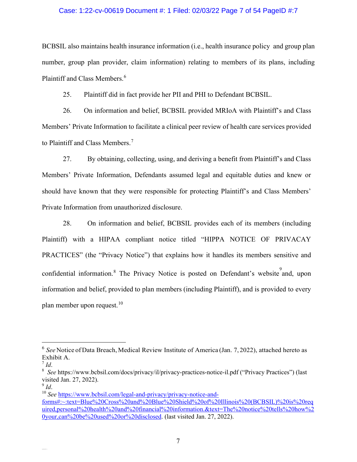### Case: 1:22-cv-00619 Document #: 1 Filed: 02/03/22 Page 7 of 54 PageID #:7

BCBSIL also maintains health insurance information (i.e., health insurance policy and group plan number, group plan provider, claim information) relating to members of its plans, including Plaintiff and Class Members. [6](#page-6-0)

25. Plaintiff did in fact provide her PII and PHI to Defendant BCBSIL.

26. On information and belief, BCBSIL provided MRIoA with Plaintiff's and Class Members' Private Information to facilitate a clinical peer review of health care services provided to Plaintiff and Class Members.<sup>[7](#page-6-1)</sup>

27. By obtaining, collecting, using, and deriving a benefit from Plaintiff's and Class Members' Private Information, Defendants assumed legal and equitable duties and knew or should have known that they were responsible for protecting Plaintiff's and Class Members' Private Information from unauthorized disclosure.

28. On information and belief, BCBSIL provides each of its members (including Plaintiff) with a HIPAA compliant notice titled "HIPPA NOTICE OF PRIVACAY PRACTICES" (the "Privacy Notice") that explains how it handles its members sensitive and confidential information.<sup>[8](#page-6-2)</sup> The Privacy Notice is posted on Defendant's website and, upon information and belief, provided to plan members (including Plaintiff), and is provided to every plan member upon request.<sup>[10](#page-6-4)</sup>

<span id="page-6-0"></span><sup>&</sup>lt;sup>6</sup> See Notice of Data Breach, Medical Review Institute of America (Jan. 7, 2022), attached hereto as Exhibit A.

<span id="page-6-1"></span><sup>7</sup> *Id*.

<span id="page-6-2"></span><sup>8</sup> *See* https://www.bcbsil.com/docs/privacy/il/privacy-practices-notice-il.pdf ("Privacy Practices") (last visited Jan. 27, 2022).

<span id="page-6-3"></span><sup>9</sup> *Id*.

<span id="page-6-4"></span><sup>&</sup>lt;sup>10</sup> *See* [https://www.bcbsil.com/legal-and-privacy/privacy-notice-and](https://www.bcbsil.com/legal-and-privacy/privacy-notice-and-forms#:%7E:text=Blue%20Cross%20and%20Blue%20Shield%20of%20Illinois%20(BCBSIL)%20is%20required,personal%20health%20and%20financial%20information.&text=The%20notice%20tells%20how%20your,can%20be%20used%20or%20disclosed)[forms#:~:text=Blue%20Cross%20and%20Blue%20Shield%20of%20Illinois%20\(BCBSIL\)%20is%20req](https://www.bcbsil.com/legal-and-privacy/privacy-notice-and-forms#:%7E:text=Blue%20Cross%20and%20Blue%20Shield%20of%20Illinois%20(BCBSIL)%20is%20required,personal%20health%20and%20financial%20information.&text=The%20notice%20tells%20how%20your,can%20be%20used%20or%20disclosed) [uired,personal%20health%20and%20financial%20information.&text=The%20notice%20tells%20how%2](https://www.bcbsil.com/legal-and-privacy/privacy-notice-and-forms#:%7E:text=Blue%20Cross%20and%20Blue%20Shield%20of%20Illinois%20(BCBSIL)%20is%20required,personal%20health%20and%20financial%20information.&text=The%20notice%20tells%20how%20your,can%20be%20used%20or%20disclosed) [0your,can%20be%20used%20or%20disclosed.](https://www.bcbsil.com/legal-and-privacy/privacy-notice-and-forms#:%7E:text=Blue%20Cross%20and%20Blue%20Shield%20of%20Illinois%20(BCBSIL)%20is%20required,personal%20health%20and%20financial%20information.&text=The%20notice%20tells%20how%20your,can%20be%20used%20or%20disclosed) (last visited Jan. 27, 2022).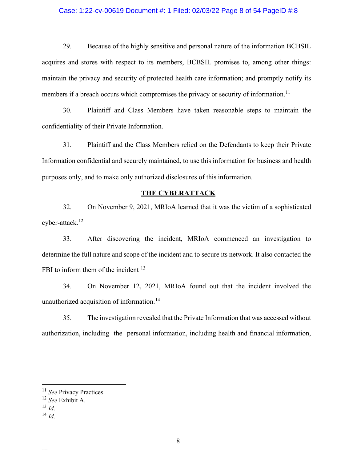### Case: 1:22-cv-00619 Document #: 1 Filed: 02/03/22 Page 8 of 54 PageID #:8

29. Because of the highly sensitive and personal nature of the information BCBSIL acquires and stores with respect to its members, BCBSIL promises to, among other things: maintain the privacy and security of protected health care information; and promptly notify its members if a breach occurs which compromises the privacy or security of information.<sup>[11](#page-7-0)</sup>

30. Plaintiff and Class Members have taken reasonable steps to maintain the confidentiality of their Private Information.

31. Plaintiff and the Class Members relied on the Defendants to keep their Private Information confidential and securely maintained, to use this information for business and health purposes only, and to make only authorized disclosures of this information.

## **THE CYBERATTACK**

32. On November 9, 2021, MRIoA learned that it was the victim of a sophisticated cyber-attack. [12](#page-7-1)

33. After discovering the incident, MRIoA commenced an investigation to determine the full nature and scope of the incident and to secure its network. It also contacted the FBI to inform them of the incident <sup>[13](#page-7-2)</sup>

34. On November 12, 2021, MRIoA found out that the incident involved the unauthorized acquisition of information. [14](#page-7-3)

35. The investigation revealed that the Private Information that was accessed without authorization, including the personal information, including health and financial information,

<span id="page-7-0"></span><sup>&</sup>lt;sup>11</sup> See Privacy Practices.

<sup>12</sup> *See* Exhibit A.

<span id="page-7-2"></span><span id="page-7-1"></span><sup>13</sup> *Id*.

<span id="page-7-3"></span><sup>14</sup> *Id*.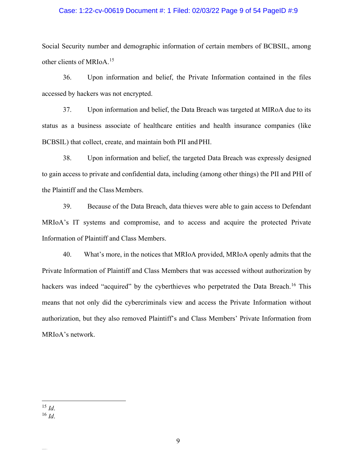### Case: 1:22-cv-00619 Document #: 1 Filed: 02/03/22 Page 9 of 54 PageID #:9

Social Security number and demographic information of certain members of BCBSIL, among other clients of MRIoA. [15](#page-8-0)

36. Upon information and belief, the Private Information contained in the files accessed by hackers was not encrypted.

37. Upon information and belief, the Data Breach was targeted at MIRoA due to its status as a business associate of healthcare entities and health insurance companies (like BCBSIL) that collect, create, and maintain both PII and PHI.

38. Upon information and belief, the targeted Data Breach was expressly designed to gain access to private and confidential data, including (among other things) the PII and PHI of the Plaintiff and the Class Members.

39. Because of the Data Breach, data thieves were able to gain access to Defendant MRIoA's IT systems and compromise, and to access and acquire the protected Private Information of Plaintiff and Class Members.

40. What's more, in the notices that MRIoA provided, MRIoA openly admits that the Private Information of Plaintiff and Class Members that was accessed without authorization by hackers was indeed "acquired" by the cyberthieves who perpetrated the Data Breach.<sup>[16](#page-8-1)</sup> This means that not only did the cybercriminals view and access the Private Information without authorization, but they also removed Plaintiff's and Class Members' Private Information from MRIoA's network.

<span id="page-8-1"></span><span id="page-8-0"></span> $^{15}$  *Id.* <sup>16</sup> *Id*.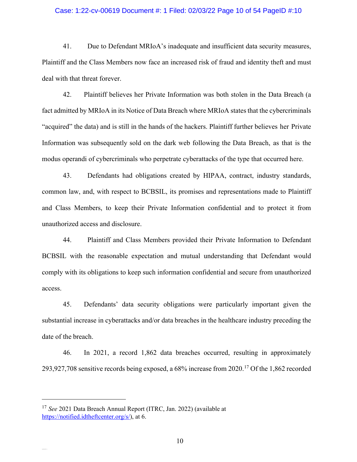#### Case: 1:22-cv-00619 Document #: 1 Filed: 02/03/22 Page 10 of 54 PageID #:10

41. Due to Defendant MRIoA's inadequate and insufficient data security measures, Plaintiff and the Class Members now face an increased risk of fraud and identity theft and must deal with that threat forever.

42. Plaintiff believes her Private Information was both stolen in the Data Breach (a fact admitted by MRIoA in its Notice of Data Breach where MRIoA states that the cybercriminals "acquired" the data) and is still in the hands of the hackers. Plaintiff further believes her Private Information was subsequently sold on the dark web following the Data Breach, as that is the modus operandi of cybercriminals who perpetrate cyberattacks of the type that occurred here.

43. Defendants had obligations created by HIPAA, contract, industry standards, common law, and, with respect to BCBSIL, its promises and representations made to Plaintiff and Class Members, to keep their Private Information confidential and to protect it from unauthorized access and disclosure.

44. Plaintiff and Class Members provided their Private Information to Defendant BCBSIL with the reasonable expectation and mutual understanding that Defendant would comply with its obligations to keep such information confidential and secure from unauthorized access.

45. Defendants' data security obligations were particularly important given the substantial increase in cyberattacks and/or data breaches in the healthcare industry preceding the date of the breach.

46. In 2021, a record 1,862 data breaches occurred, resulting in approximately 293,927,708 sensitive records being exposed, a 68% increase from 2020.<sup>[17](#page-9-0)</sup> Of the 1,862 recorded

<span id="page-9-0"></span><sup>17</sup> *See* 2021 Data Breach Annual Report (ITRC, Jan. 2022) (available at [https://notified.idtheftcenter.org/s/\)](https://notified.idtheftcenter.org/s/), at 6.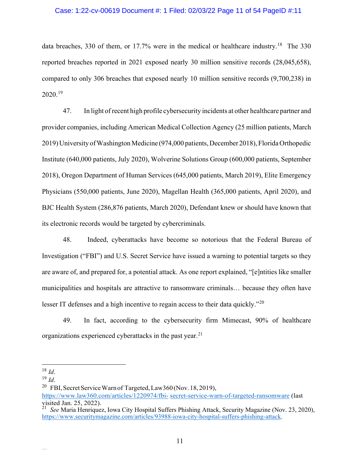### Case: 1:22-cv-00619 Document #: 1 Filed: 02/03/22 Page 11 of 54 PageID #:11

data breaches, 330 of them, or 17.7% were in the medical or healthcare industry.<sup>[18](#page-10-0)</sup> The 330 reported breaches reported in 2021 exposed nearly 30 million sensitive records (28,045,658), compared to only 306 breaches that exposed nearly 10 million sensitive records (9,700,238) in 2020.[19](#page-10-1)

47. In light of recent high profile cybersecurity incidents at other healthcare partner and provider companies, including American Medical Collection Agency (25 million patients, March 2019) University of Washington Medicine (974,000 patients, December 2018), Florida Orthopedic Institute (640,000 patients, July 2020), Wolverine Solutions Group (600,000 patients, September 2018), Oregon Department of Human Services (645,000 patients, March 2019), Elite Emergency Physicians (550,000 patients, June 2020), Magellan Health (365,000 patients, April 2020), and BJC Health System (286,876 patients, March 2020), Defendant knew or should have known that its electronic records would be targeted by cybercriminals.

48. Indeed, cyberattacks have become so notorious that the Federal Bureau of Investigation ("FBI") and U.S. Secret Service have issued a warning to potential targets so they are aware of, and prepared for, a potential attack. As one report explained, "[e]ntities like smaller municipalities and hospitals are attractive to ransomware criminals… because they often have lesser IT defenses and a high incentive to regain access to their data quickly."<sup>[20](#page-10-2)</sup>

49. In fact, according to the cybersecurity firm Mimecast, 90% of healthcare organizations experienced cyberattacks in the past year.<sup>[21](#page-10-3)</sup>

<sup>20</sup> FBI, Secret Service Warn of Targeted, Law360 (Nov. 18, 2019),

https:/[/www.law360.com/articles/1220974/fbi-](http://www.law360.com/articles/1220974/fbi-) secret-service-warn-of-targeted-ransomware (last visited Jan. 25, 2022). 21 *See* Maria Henriquez, Iowa City Hospital Suffers Phishing Attack, Security Magazine (Nov. 23, 2020),

<span id="page-10-0"></span> $18$  *Id.* 

<span id="page-10-2"></span><span id="page-10-1"></span><sup>19</sup> *Id*.

<span id="page-10-3"></span>https:/[/www.securitymagazine.com/articles/93988-iowa-city-hospital-suffers-phishing-attack.](http://www.securitymagazine.com/articles/93988-iowa-city-hospital-suffers-phishing-attack)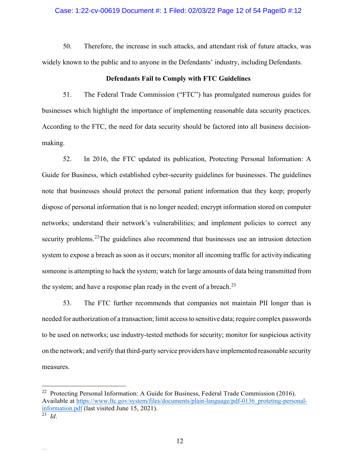#### Case: 1:22-cv-00619 Document #: 1 Filed: 02/03/22 Page 12 of 54 PageID #:12

50. Therefore, the increase in such attacks, and attendant risk of future attacks, was widely known to the public and to anyone in the Defendants' industry, including Defendants.

### **Defendants Fail to Comply with FTC Guidelines**

51. The Federal Trade Commission ("FTC") has promulgated numerous guides for businesses which highlight the importance of implementing reasonable data security practices. According to the FTC, the need for data security should be factored into all business decisionmaking.

52. In 2016, the FTC updated its publication, Protecting Personal Information: A Guide for Business, which established cyber-security guidelines for businesses. The guidelines note that businesses should protect the personal patient information that they keep; properly dispose of personal information that is no longer needed; encrypt information stored on computer networks; understand their network's vulnerabilities; and implement policies to correct any security problems.<sup>[22](#page-11-0)</sup>The guidelines also recommend that businesses use an intrusion detection system to expose a breach as soon as it occurs; monitor all incoming traffic for activity indicating someone is attempting to hack the system; watch for large amounts of data being transmitted from the system; and have a response plan ready in the event of a breach.<sup>[23](#page-11-1)</sup>

53. The FTC further recommends that companies not maintain PII longer than is needed for authorization of a transaction; limit accessto sensitive data; require complex passwords to be used on networks; use industry-tested methods for security; monitor for suspicious activity on the network; and verify that third-party service providers have implemented reasonable security measures.

<span id="page-11-0"></span><sup>&</sup>lt;sup>22</sup> Protecting Personal Information: A Guide for Business, Federal Trade Commission (2016). Available at https://www.ftc.gov/system/files/documents/plain-language/pdf-0136 proteting-personal[information.pdf](http://www.ftc.gov/system/files/documents/plain-language/pdf-0136_proteting-personal-information.pdf) (last visited June 15, 2021).

<span id="page-11-1"></span><sup>23</sup> *Id*.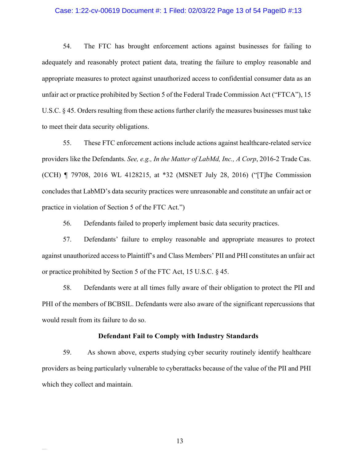#### Case: 1:22-cv-00619 Document #: 1 Filed: 02/03/22 Page 13 of 54 PageID #:13

54. The FTC has brought enforcement actions against businesses for failing to adequately and reasonably protect patient data, treating the failure to employ reasonable and appropriate measures to protect against unauthorized access to confidential consumer data as an unfair act or practice prohibited by Section 5 of the Federal Trade Commission Act ("FTCA"), 15 U.S.C. § 45. Orders resulting from these actions further clarify the measures businesses must take to meet their data security obligations.

55. These FTC enforcement actions include actions against healthcare-related service providers like the Defendants. *See, e.g., In the Matter of LabMd, Inc., A Corp*, 2016-2 Trade Cas. (CCH) ¶ 79708, 2016 WL 4128215, at \*32 (MSNET July 28, 2016) ("[T]he Commission concludes that LabMD's data security practices were unreasonable and constitute an unfair act or practice in violation of Section 5 of the FTC Act.")

56. Defendants failed to properly implement basic data security practices.

57. Defendants' failure to employ reasonable and appropriate measures to protect against unauthorized access to Plaintiff's and Class Members' PII and PHI constitutes an unfair act or practice prohibited by Section 5 of the FTC Act, 15 U.S.C. § 45.

58. Defendants were at all times fully aware of their obligation to protect the PII and PHI of the members of BCBSIL. Defendants were also aware of the significant repercussions that would result from its failure to do so.

#### **Defendant Fail to Comply with Industry Standards**

59. As shown above, experts studying cyber security routinely identify healthcare providers as being particularly vulnerable to cyberattacks because of the value of the PII and PHI which they collect and maintain.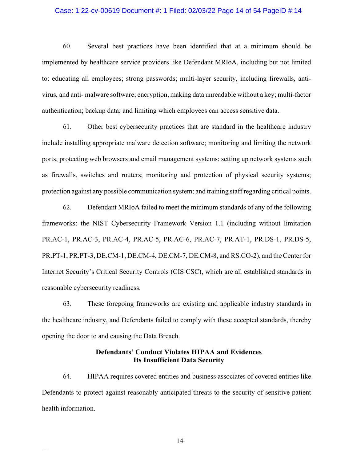#### Case: 1:22-cv-00619 Document #: 1 Filed: 02/03/22 Page 14 of 54 PageID #:14

60. Several best practices have been identified that at a minimum should be implemented by healthcare service providers like Defendant MRIoA, including but not limited to: educating all employees; strong passwords; multi-layer security, including firewalls, antivirus, and anti- malware software; encryption, making data unreadable without a key; multi-factor authentication; backup data; and limiting which employees can access sensitive data.

61. Other best cybersecurity practices that are standard in the healthcare industry include installing appropriate malware detection software; monitoring and limiting the network ports; protecting web browsers and email management systems; setting up network systems such as firewalls, switches and routers; monitoring and protection of physical security systems; protection against any possible communication system; and training staff regarding critical points.

62. Defendant MRIoA failed to meet the minimum standards of any of the following frameworks: the NIST Cybersecurity Framework Version 1.1 (including without limitation PR.AC-1, PR.AC-3, PR.AC-4, PR.AC-5, PR.AC-6, PR.AC-7, PR.AT-1, PR.DS-1, PR.DS-5, PR.PT-1, PR.PT-3, DE.CM-1, DE.CM-4, DE.CM-7, DE.CM-8, and RS.CO-2), and the Center for Internet Security's Critical Security Controls (CIS CSC), which are all established standards in reasonable cybersecurity readiness.

63. These foregoing frameworks are existing and applicable industry standards in the healthcare industry, and Defendants failed to comply with these accepted standards, thereby opening the door to and causing the Data Breach.

## **Defendants' Conduct Violates HIPAA and Evidences Its Insufficient Data Security**

64. HIPAA requires covered entities and business associates of covered entities like Defendants to protect against reasonably anticipated threats to the security of sensitive patient health information.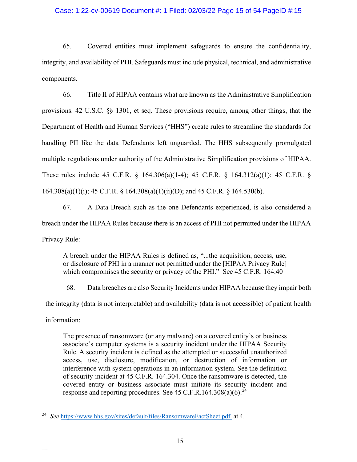### Case: 1:22-cv-00619 Document #: 1 Filed: 02/03/22 Page 15 of 54 PageID #:15

65. Covered entities must implement safeguards to ensure the confidentiality, integrity, and availability of PHI. Safeguards must include physical, technical, and administrative components.

66. Title II of HIPAA contains what are known as the Administrative Simplification provisions. 42 U.S.C. §§ 1301, et seq. These provisions require, among other things, that the Department of Health and Human Services ("HHS") create rules to streamline the standards for handling PII like the data Defendants left unguarded. The HHS subsequently promulgated multiple regulations under authority of the Administrative Simplification provisions of HIPAA. These rules include 45 C.F.R. § 164.306(a)(1-4); 45 C.F.R. § 164.312(a)(1); 45 C.F.R. § 164.308(a)(1)(i); 45 C.F.R. § 164.308(a)(1)(ii)(D); and 45 C.F.R. § 164.530(b).

67. A Data Breach such as the one Defendants experienced, is also considered a breach under the HIPAA Rules because there is an access of PHI not permitted under the HIPAA Privacy Rule:

A breach under the HIPAA Rules is defined as, "...the acquisition, access, use, or disclosure of PHI in a manner not permitted under the [HIPAA Privacy Rule] which compromises the security or privacy of the PHI." See 45 C.F.R. 164.40

68. Data breaches are also Security Incidents under HIPAA because they impair both the integrity (data is not interpretable) and availability (data is not accessible) of patient health information:

The presence of ransomware (or any malware) on a covered entity's or business associate's computer systems is a security incident under the HIPAA Security Rule. A security incident is defined as the attempted or successful unauthorized access, use, disclosure, modification, or destruction of information or interference with system operations in an information system. See the definition of security incident at 45 C.F.R. 164.304. Once the ransomware is detected, the covered entity or business associate must initiate its security incident and response and reporting procedures. See 45 C.F.R.164.308(a)(6).<sup>[24](#page-14-0)</sup>

<span id="page-14-0"></span><sup>&</sup>lt;sup>24</sup> See https://www.hhs.gov/sites/default/files/RansomwareFactSheet.pdf\_at 4.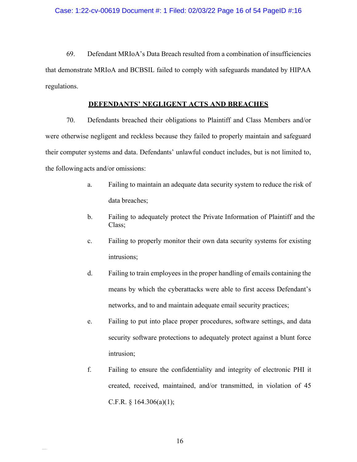69. Defendant MRIoA's Data Breach resulted from a combination of insufficiencies that demonstrate MRIoA and BCBSIL failed to comply with safeguards mandated by HIPAA regulations.

## **DEFENDANTS' NEGLIGENT ACTS AND BREACHES**

70. Defendants breached their obligations to Plaintiff and Class Members and/or were otherwise negligent and reckless because they failed to properly maintain and safeguard their computer systems and data. Defendants' unlawful conduct includes, but is not limited to, the followingacts and/or omissions:

- a. Failing to maintain an adequate data security system to reduce the risk of data breaches;
- b. Failing to adequately protect the Private Information of Plaintiff and the Class;
- c. Failing to properly monitor their own data security systems for existing intrusions;
- d. Failing to train employees in the proper handling of emails containing the means by which the cyberattacks were able to first access Defendant's networks, and to and maintain adequate email security practices;
- e. Failing to put into place proper procedures, software settings, and data security software protections to adequately protect against a blunt force intrusion;
- f. Failing to ensure the confidentiality and integrity of electronic PHI it created, received, maintained, and/or transmitted, in violation of 45 C.F.R.  $\S$  164.306(a)(1);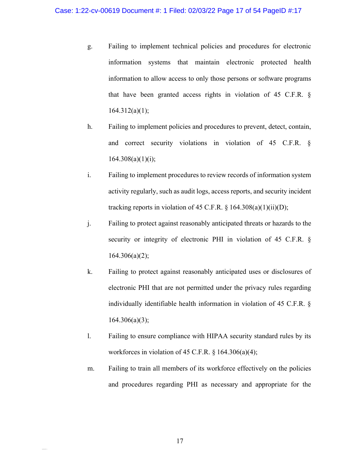- g. Failing to implement technical policies and procedures for electronic information systems that maintain electronic protected health information to allow access to only those persons or software programs that have been granted access rights in violation of 45 C.F.R. §  $164.312(a)(1);$
- h. Failing to implement policies and procedures to prevent, detect, contain, and correct security violations in violation of 45 C.F.R. §  $164.308(a)(1)(i);$
- i. Failing to implement procedures to review records of information system activity regularly, such as audit logs, access reports, and security incident tracking reports in violation of 45 C.F.R.  $\S$  164.308(a)(1)(ii)(D);
- j. Failing to protect against reasonably anticipated threats or hazards to the security or integrity of electronic PHI in violation of 45 C.F.R. §  $164.306(a)(2);$
- k. Failing to protect against reasonably anticipated uses or disclosures of electronic PHI that are not permitted under the privacy rules regarding individually identifiable health information in violation of 45 C.F.R. §  $164.306(a)(3);$
- l. Failing to ensure compliance with HIPAA security standard rules by its workforces in violation of 45 C.F.R.  $\S$  164.306(a)(4);
- m. Failing to train all members of its workforce effectively on the policies and procedures regarding PHI as necessary and appropriate for the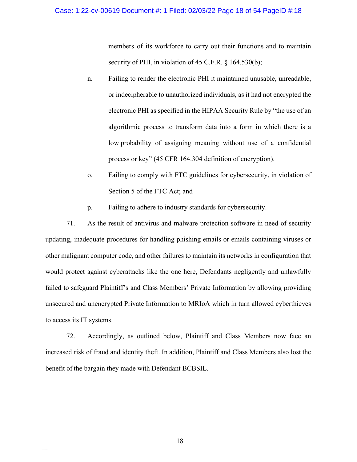members of its workforce to carry out their functions and to maintain security of PHI, in violation of 45 C.F.R. § 164.530(b);

- n. Failing to render the electronic PHI it maintained unusable, unreadable, or indecipherable to unauthorized individuals, as it had not encrypted the electronic PHI as specified in the HIPAA Security Rule by "the use of an algorithmic process to transform data into a form in which there is a low probability of assigning meaning without use of a confidential process or key" (45 CFR 164.304 definition of encryption).
- o. Failing to comply with FTC guidelines for cybersecurity, in violation of Section 5 of the FTC Act; and
- p. Failing to adhere to industry standards for cybersecurity.

71. As the result of antivirus and malware protection software in need of security updating, inadequate procedures for handling phishing emails or emails containing viruses or other malignant computer code, and other failures to maintain its networks in configuration that would protect against cyberattacks like the one here, Defendants negligently and unlawfully failed to safeguard Plaintiff's and Class Members' Private Information by allowing providing unsecured and unencrypted Private Information to MRIoA which in turn allowed cyberthieves to access its IT systems.

72. Accordingly, as outlined below, Plaintiff and Class Members now face an increased risk of fraud and identity theft. In addition, Plaintiff and Class Members also lost the benefit of the bargain they made with Defendant BCBSIL.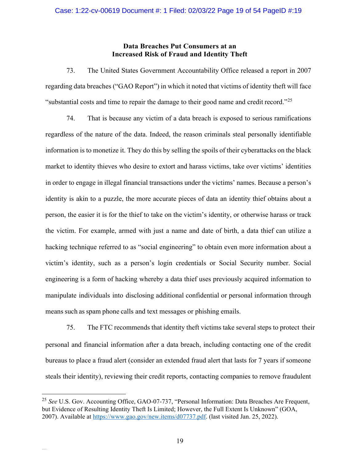## **Data Breaches Put Consumers at an Increased Risk of Fraud and Identity Theft**

73. The United States Government Accountability Office released a report in 2007 regarding data breaches ("GAO Report") in which it noted that victims of identity theft will face "substantial costs and time to repair the damage to their good name and credit record."<sup>[25](#page-18-0)</sup>

74. That is because any victim of a data breach is exposed to serious ramifications regardless of the nature of the data. Indeed, the reason criminals steal personally identifiable information is to monetize it. They do this by selling the spoils of their cyberattacks on the black market to identity thieves who desire to extort and harass victims, take over victims' identities in order to engage in illegal financial transactions under the victims' names. Because a person's identity is akin to a puzzle, the more accurate pieces of data an identity thief obtains about a person, the easier it is for the thief to take on the victim's identity, or otherwise harass or track the victim. For example, armed with just a name and date of birth, a data thief can utilize a hacking technique referred to as "social engineering" to obtain even more information about a victim's identity, such as a person's login credentials or Social Security number. Social engineering is a form of hacking whereby a data thief uses previously acquired information to manipulate individuals into disclosing additional confidential or personal information through means such as spam phone calls and text messages or phishing emails.

75. The FTC recommends that identity theft victims take several steps to protect their personal and financial information after a data breach, including contacting one of the credit bureaus to place a fraud alert (consider an extended fraud alert that lasts for 7 years if someone steals their identity), reviewing their credit reports, contacting companies to remove fraudulent

<span id="page-18-0"></span><sup>25</sup> *See* U.S. Gov. Accounting Office, GAO-07-737, "Personal Information: Data Breaches Are Frequent, but Evidence of Resulting Identity Theft Is Limited; However, the Full Extent Is Unknown" (GOA, 2007). Available at https:/[/www.gao.gov/new.items/d07737.pdf.](http://www.gao.gov/new.items/d07737.pdf) (last visited Jan. 25, 2022).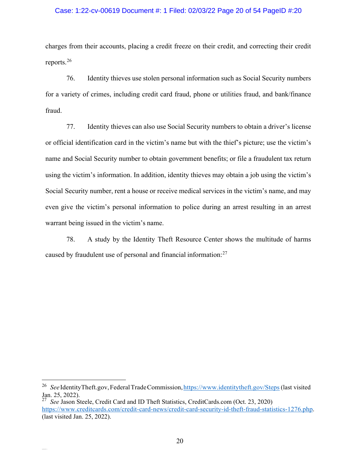### Case: 1:22-cv-00619 Document #: 1 Filed: 02/03/22 Page 20 of 54 PageID #:20

charges from their accounts, placing a credit freeze on their credit, and correcting their credit reports.[26](#page-19-0)

76. Identity thieves use stolen personal information such as Social Security numbers for a variety of crimes, including credit card fraud, phone or utilities fraud, and bank/finance fraud.

77. Identity thieves can also use Social Security numbers to obtain a driver's license or official identification card in the victim's name but with the thief's picture; use the victim's name and Social Security number to obtain government benefits; or file a fraudulent tax return using the victim's information. In addition, identity thieves may obtain a job using the victim's Social Security number, rent a house or receive medical services in the victim's name, and may even give the victim's personal information to police during an arrest resulting in an arrest warrant being issued in the victim's name.

78. A study by the Identity Theft Resource Center shows the multitude of harms caused by fraudulent use of personal and financial information:[27](#page-19-1)

<span id="page-19-0"></span><sup>&</sup>lt;sup>26</sup> See IdentityTheft.gov, Federal Trade Commission, https:/[/www.identitytheft.gov/Steps](http://www.identitytheft.gov/Steps) (last visited Jan. 25, 2022).<br><sup>27</sup> See Jason S

<span id="page-19-1"></span>*See* Jason Steele, Credit Card and ID Theft Statistics, CreditCards.com (Oct. 23, 2020) https:/[/www.creditcards.com/credit-card-news/credit-card-security-id-theft-fraud-statistics-1276.php.](http://www.creditcards.com/credit-card-news/credit-card-security-id-theft-fraud-statistics-1276.php)  (last visited Jan. 25, 2022).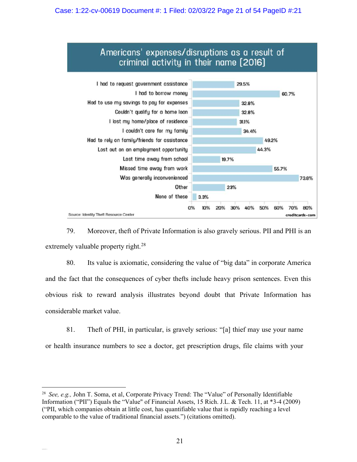## Case: 1:22-cv-00619 Document #: 1 Filed: 02/03/22 Page 21 of 54 PageID #:21



79. Moreover, theft of Private Information is also gravely serious. PII and PHI is an extremely valuable property right. $^{28}$  $^{28}$  $^{28}$ 

80. Its value is axiomatic, considering the value of "big data" in corporate America and the fact that the consequences of cyber thefts include heavy prison sentences. Even this obvious risk to reward analysis illustrates beyond doubt that Private Information has considerable market value.

81. Theft of PHI, in particular, is gravely serious: "[a] thief may use your name or health insurance numbers to see a doctor, get prescription drugs, file claims with your

<span id="page-20-0"></span><sup>28</sup> *See, e.g.,* John T. Soma, et al, Corporate Privacy Trend: The "Value" of Personally Identifiable Information ("PII") Equals the "Value" of Financial Assets, 15 Rich. J.L. & Tech. 11, at \*3-4 (2009) ("PII, which companies obtain at little cost, has quantifiable value that is rapidly reaching a level comparable to the value of traditional financial assets.") (citations omitted).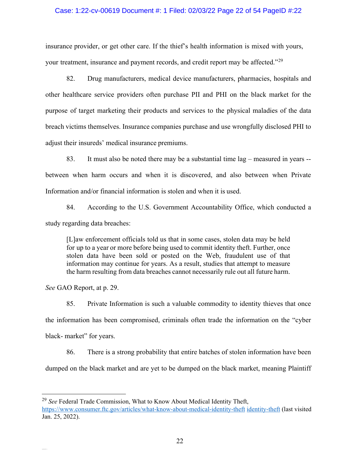#### Case: 1:22-cv-00619 Document #: 1 Filed: 02/03/22 Page 22 of 54 PageID #:22

insurance provider, or get other care. If the thief's health information is mixed with yours, your treatment, insurance and payment records, and credit report may be affected."<sup>[29](#page-21-0)</sup>

82. Drug manufacturers, medical device manufacturers, pharmacies, hospitals and other healthcare service providers often purchase PII and PHI on the black market for the purpose of target marketing their products and services to the physical maladies of the data breach victims themselves. Insurance companies purchase and use wrongfully disclosed PHI to adjust their insureds' medical insurance premiums.

83. It must also be noted there may be a substantial time lag – measured in years - between when harm occurs and when it is discovered, and also between when Private Information and/or financial information is stolen and when it is used.

84. According to the U.S. Government Accountability Office, which conducted a study regarding data breaches:

[L]aw enforcement officials told us that in some cases, stolen data may be held for up to a year or more before being used to commit identity theft. Further, once stolen data have been sold or posted on the Web, fraudulent use of that information may continue for years. As a result, studies that attempt to measure the harm resulting from data breaches cannot necessarily rule out all future harm.

*See* GAO Report, at p. 29.

85. Private Information is such a valuable commodity to identity thieves that once the information has been compromised, criminals often trade the information on the "cyber black- market" for years.

86. There is a strong probability that entire batches of stolen information have been

dumped on the black market and are yet to be dumped on the black market, meaning Plaintiff

<span id="page-21-0"></span><sup>29</sup> *See* Federal Trade Commission, What to Know About Medical Identity Theft, <https://www.consumer.ftc.gov/articles/what-know-about-medical-identity-theft> identity-theft (last visited Jan. 25, 2022).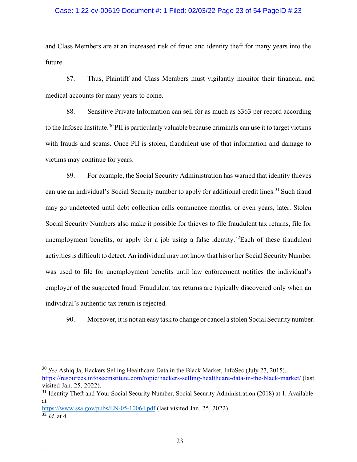### Case: 1:22-cv-00619 Document #: 1 Filed: 02/03/22 Page 23 of 54 PageID #:23

and Class Members are at an increased risk of fraud and identity theft for many years into the future.

87. Thus, Plaintiff and Class Members must vigilantly monitor their financial and medical accounts for many years to come.

88. Sensitive Private Information can sell for as much as \$363 per record according to the Infosec Institute.<sup>[30](#page-22-0)</sup>PII is particularly valuable because criminals can use it to target victims with frauds and scams. Once PII is stolen, fraudulent use of that information and damage to victims may continue for years.

89. For example, the Social Security Administration has warned that identity thieves can use an individual's Social Security number to apply for additional credit lines.<sup>[31](#page-22-1)</sup> Such fraud may go undetected until debt collection calls commence months, or even years, later. Stolen Social Security Numbers also make it possible for thieves to file fraudulent tax returns, file for unemployment benefits, or apply for a job using a false identity.<sup>[32](#page-22-2)</sup>Each of these fraudulent activities is difficult to detect. An individual may not know that his or her Social Security Number was used to file for unemployment benefits until law enforcement notifies the individual's employer of the suspected fraud. Fraudulent tax returns are typically discovered only when an individual's authentic tax return is rejected.

90. Moreover, it is not an easy task to change or cancel a stolen Social Security number.

<span id="page-22-2"></span>https:/[/www.ssa.gov/pubs/EN-05-10064.pdf](http://www.ssa.gov/pubs/EN-05-10064.pdf) (last visited Jan. 25, 2022).  $\overline{\frac{32}{Id}}$ . at 4.

<span id="page-22-0"></span><sup>30</sup> *See* Ashiq Ja, Hackers Selling Healthcare Data in the Black Market, InfoSec (July 27, 2015), <https://resources.infosecinstitute.com/topic/hackers-selling-healthcare-data-in-the-black-market/> (last visited Jan. 25, 2022).

<span id="page-22-1"></span><sup>&</sup>lt;sup>31</sup> Identity Theft and Your Social Security Number, Social Security Administration (2018) at 1. Available at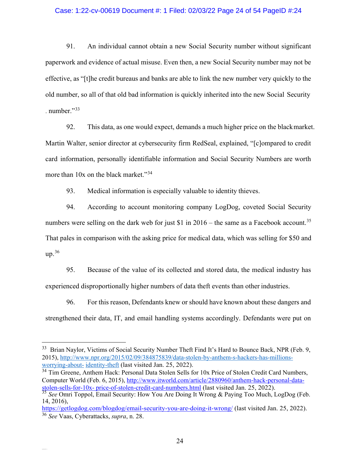### Case: 1:22-cv-00619 Document #: 1 Filed: 02/03/22 Page 24 of 54 PageID #:24

91. An individual cannot obtain a new Social Security number without significant paperwork and evidence of actual misuse. Even then, a new Social Security number may not be effective, as "[t]he credit bureaus and banks are able to link the new number very quickly to the old number, so all of that old bad information is quickly inherited into the new Social Security . number." $33$ 

92. This data, as one would expect, demands a much higher price on the blackmarket. Martin Walter, senior director at cybersecurity firm RedSeal, explained, "[c]ompared to credit card information, personally identifiable information and Social Security Numbers are worth more than 10x on the black market."<sup>[34](#page-23-1)</sup>

93. Medical information is especially valuable to identity thieves.

94. According to account monitoring company LogDog, coveted Social Security numbers were selling on the dark web for just \$1 in 2016 – the same as a Facebook account.<sup>[35](#page-23-2)</sup> That pales in comparison with the asking price for medical data, which was selling for \$50 and up. [36](#page-23-3)

95. Because of the value of its collected and stored data, the medical industry has experienced disproportionally higher numbers of data theft events than other industries.

96. For this reason, Defendants knew or should have known about these dangers and strengthened their data, IT, and email handling systems accordingly. Defendants were put on

<span id="page-23-1"></span><sup>34</sup> Tim Greene, Anthem Hack: Personal Data Stolen Sells for 10x Price of Stolen Credit Card Numbers, Computer World (Feb. 6, 2015), [http://www.itworld.com/article/2880960/anthem-hack-personal-data](http://www.itworld.com/article/2880960/anthem-hack-personal-data-stolen-sells-for-10x-%20price-of-stolen-credit-card-numbers.html)[stolen-sells-for-10x- price-of-stolen-credit-card-numbers.html](http://www.itworld.com/article/2880960/anthem-hack-personal-data-stolen-sells-for-10x-%20price-of-stolen-credit-card-numbers.html) (last visited Jan. 25, 2022).

<span id="page-23-0"></span><sup>&</sup>lt;sup>33</sup> Brian Naylor, Victims of Social Security Number Theft Find It's Hard to Bounce Back, NPR (Feb. 9, 2015), [http://www.npr.org/2015/02/09/384875839/data-stolen-by-anthem-s-hackers-has-millions](http://www.npr.org/2015/02/09/384875839/data-stolen-by-anthem-s-hackers-has-millions-worrying-about-)[worrying-about-](http://www.npr.org/2015/02/09/384875839/data-stolen-by-anthem-s-hackers-has-millions-worrying-about-) identity-theft (last visited Jan. 25, 2022).

<span id="page-23-2"></span><sup>35</sup> *See* Omri Toppol, Email Security: How You Are Doing It Wrong & Paying Too Much, LogDog (Feb. 14, 2016),

<span id="page-23-3"></span><https://getlogdog.com/blogdog/email-security-you-are-doing-it-wrong/> (last visited Jan. 25, 2022). <sup>36</sup> *See* Vaas, Cyberattacks, *supra*, n. 28.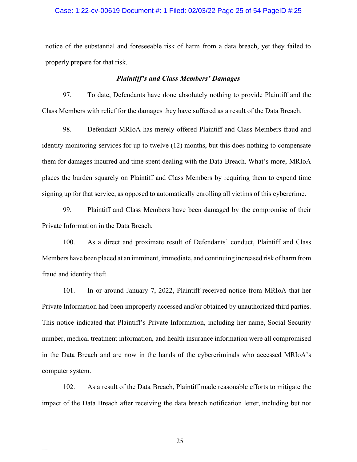### Case: 1:22-cv-00619 Document #: 1 Filed: 02/03/22 Page 25 of 54 PageID #:25

notice of the substantial and foreseeable risk of harm from a data breach, yet they failed to properly prepare for that risk.

#### *Plaintiff's and Class Members' Damages*

97. To date, Defendants have done absolutely nothing to provide Plaintiff and the Class Members with relief for the damages they have suffered as a result of the Data Breach.

98. Defendant MRIoA has merely offered Plaintiff and Class Members fraud and identity monitoring services for up to twelve (12) months, but this does nothing to compensate them for damages incurred and time spent dealing with the Data Breach. What's more, MRIoA places the burden squarely on Plaintiff and Class Members by requiring them to expend time signing up for that service, as opposed to automatically enrolling all victims of this cybercrime.

99. Plaintiff and Class Members have been damaged by the compromise of their Private Information in the Data Breach.

100. As a direct and proximate result of Defendants' conduct, Plaintiff and Class Members have been placed at an imminent, immediate, and continuing increased risk of harm from fraud and identity theft.

101. In or around January 7, 2022, Plaintiff received notice from MRIoA that her Private Information had been improperly accessed and/or obtained by unauthorized third parties. This notice indicated that Plaintiff's Private Information, including her name, Social Security number, medical treatment information, and health insurance information were all compromised in the Data Breach and are now in the hands of the cybercriminals who accessed MRIoA's computer system.

102. As a result of the Data Breach, Plaintiff made reasonable efforts to mitigate the impact of the Data Breach after receiving the data breach notification letter, including but not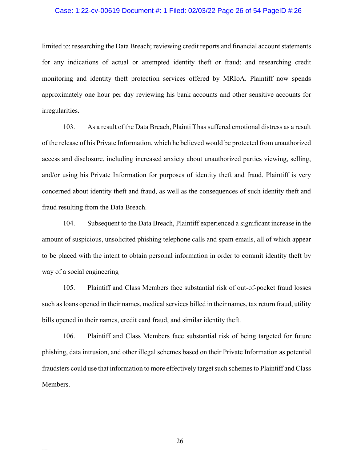#### Case: 1:22-cv-00619 Document #: 1 Filed: 02/03/22 Page 26 of 54 PageID #:26

limited to: researching the Data Breach; reviewing credit reports and financial account statements for any indications of actual or attempted identity theft or fraud; and researching credit monitoring and identity theft protection services offered by MRIoA. Plaintiff now spends approximately one hour per day reviewing his bank accounts and other sensitive accounts for irregularities.

103. As a result of the Data Breach, Plaintiff has suffered emotional distress as a result of the release of his Private Information, which he believed would be protected from unauthorized access and disclosure, including increased anxiety about unauthorized parties viewing, selling, and/or using his Private Information for purposes of identity theft and fraud. Plaintiff is very concerned about identity theft and fraud, as well as the consequences of such identity theft and fraud resulting from the Data Breach.

104. Subsequent to the Data Breach, Plaintiff experienced a significant increase in the amount of suspicious, unsolicited phishing telephone calls and spam emails, all of which appear to be placed with the intent to obtain personal information in order to commit identity theft by way of a social engineering

105. Plaintiff and Class Members face substantial risk of out-of-pocket fraud losses such as loans opened in their names, medical services billed in their names, tax return fraud, utility bills opened in their names, credit card fraud, and similar identity theft.

106. Plaintiff and Class Members face substantial risk of being targeted for future phishing, data intrusion, and other illegal schemes based on their Private Information as potential fraudsters could use that information to more effectively targetsuch schemesto Plaintiff and Class Members.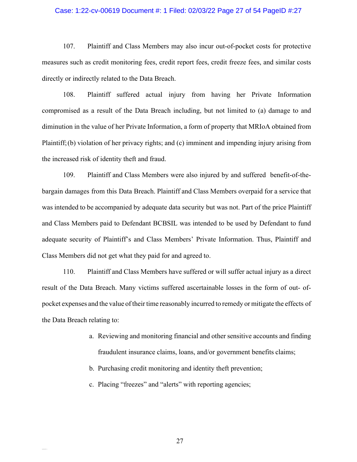### Case: 1:22-cv-00619 Document #: 1 Filed: 02/03/22 Page 27 of 54 PageID #:27

107. Plaintiff and Class Members may also incur out-of-pocket costs for protective measures such as credit monitoring fees, credit report fees, credit freeze fees, and similar costs directly or indirectly related to the Data Breach.

108. Plaintiff suffered actual injury from having her Private Information compromised as a result of the Data Breach including, but not limited to (a) damage to and diminution in the value of her Private Information, a form of property that MRIoA obtained from Plaintiff;(b) violation of her privacy rights; and (c) imminent and impending injury arising from the increased risk of identity theft and fraud.

109. Plaintiff and Class Members were also injured by and suffered benefit-of-thebargain damages from this Data Breach. Plaintiff and Class Members overpaid for a service that was intended to be accompanied by adequate data security but was not. Part of the price Plaintiff and Class Members paid to Defendant BCBSIL was intended to be used by Defendant to fund adequate security of Plaintiff's and Class Members' Private Information. Thus, Plaintiff and Class Members did not get what they paid for and agreed to.

110. Plaintiff and Class Members have suffered or will suffer actual injury as a direct result of the Data Breach. Many victims suffered ascertainable losses in the form of out- ofpocket expenses and the value of their time reasonably incurred to remedy or mitigate the effects of the Data Breach relating to:

- a. Reviewing and monitoring financial and other sensitive accounts and finding fraudulent insurance claims, loans, and/or government benefits claims;
- b. Purchasing credit monitoring and identity theft prevention;
- c. Placing "freezes" and "alerts" with reporting agencies;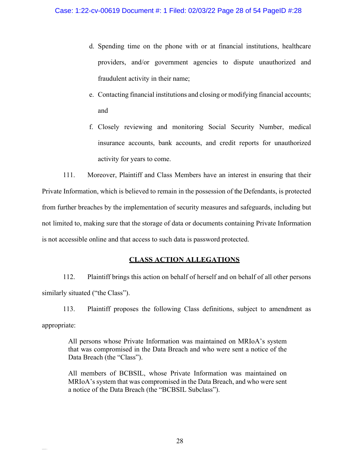- d. Spending time on the phone with or at financial institutions, healthcare providers, and/or government agencies to dispute unauthorized and fraudulent activity in their name;
- e. Contacting financial institutions and closing or modifying financial accounts; and
- f. Closely reviewing and monitoring Social Security Number, medical insurance accounts, bank accounts, and credit reports for unauthorized activity for years to come.

111. Moreover, Plaintiff and Class Members have an interest in ensuring that their Private Information, which is believed to remain in the possession of the Defendants, is protected from further breaches by the implementation of security measures and safeguards, including but not limited to, making sure that the storage of data or documents containing Private Information is not accessible online and that access to such data is password protected.

# **CLASS ACTION ALLEGATIONS**

112. Plaintiff brings this action on behalf of herself and on behalf of all other persons similarly situated ("the Class").

113. Plaintiff proposes the following Class definitions, subject to amendment as appropriate:

All persons whose Private Information was maintained on MRIoA's system that was compromised in the Data Breach and who were sent a notice of the Data Breach (the "Class").

All members of BCBSIL, whose Private Information was maintained on MRIoA's system that was compromised in the Data Breach, and who were sent a notice of the Data Breach (the "BCBSIL Subclass").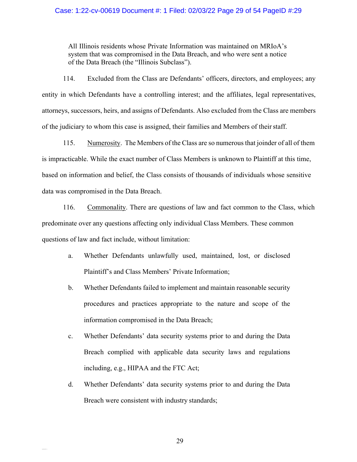## Case: 1:22-cv-00619 Document #: 1 Filed: 02/03/22 Page 29 of 54 PageID #:29

All Illinois residents whose Private Information was maintained on MRIoA's system that was compromised in the Data Breach, and who were sent a notice of the Data Breach (the "Illinois Subclass").

114. Excluded from the Class are Defendants' officers, directors, and employees; any entity in which Defendants have a controlling interest; and the affiliates, legal representatives, attorneys, successors, heirs, and assigns of Defendants. Also excluded from the Class are members of the judiciary to whom this case is assigned, their families and Members of theirstaff.

115. Numerosity. The Members of the Class are so numerous that joinder of all of them is impracticable. While the exact number of Class Members is unknown to Plaintiff at this time, based on information and belief, the Class consists of thousands of individuals whose sensitive data was compromised in the Data Breach.

116. Commonality. There are questions of law and fact common to the Class, which predominate over any questions affecting only individual Class Members. These common questions of law and fact include, without limitation:

- a. Whether Defendants unlawfully used, maintained, lost, or disclosed Plaintiff's and Class Members' Private Information;
- b. Whether Defendants failed to implement and maintain reasonable security procedures and practices appropriate to the nature and scope of the information compromised in the Data Breach;
- c. Whether Defendants' data security systems prior to and during the Data Breach complied with applicable data security laws and regulations including, e.g., HIPAA and the FTC Act;
- d. Whether Defendants' data security systems prior to and during the Data Breach were consistent with industry standards;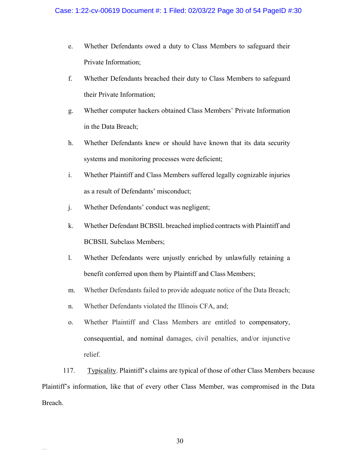- e. Whether Defendants owed a duty to Class Members to safeguard their Private Information;
- f. Whether Defendants breached their duty to Class Members to safeguard their Private Information;
- g. Whether computer hackers obtained Class Members' Private Information in the Data Breach;
- h. Whether Defendants knew or should have known that its data security systems and monitoring processes were deficient;
- i. Whether Plaintiff and Class Members suffered legally cognizable injuries as a result of Defendants' misconduct;
- j. Whether Defendants' conduct was negligent;
- k. Whether Defendant BCBSIL breached implied contracts with Plaintiff and BCBSIL Subclass Members;
- l. Whether Defendants were unjustly enriched by unlawfully retaining a benefit conferred upon them by Plaintiff and Class Members;
- m. Whether Defendants failed to provide adequate notice of the Data Breach;
- n. Whether Defendants violated the Illinois CFA, and;
- o. Whether Plaintiff and Class Members are entitled to compensatory, consequential, and nominal damages, civil penalties, and/or injunctive relief.

117. Typicality. Plaintiff's claims are typical of those of other Class Members because Plaintiff's information, like that of every other Class Member, was compromised in the Data Breach.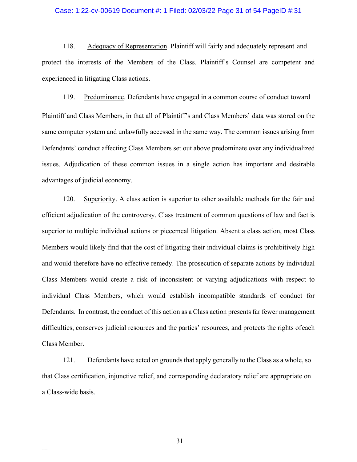#### Case: 1:22-cv-00619 Document #: 1 Filed: 02/03/22 Page 31 of 54 PageID #:31

118. Adequacy of Representation. Plaintiff will fairly and adequately represent and protect the interests of the Members of the Class. Plaintiff's Counsel are competent and experienced in litigating Class actions.

119. Predominance. Defendants have engaged in a common course of conduct toward Plaintiff and Class Members, in that all of Plaintiff's and Class Members' data was stored on the same computer system and unlawfully accessed in the same way. The common issues arising from Defendants' conduct affecting Class Members set out above predominate over any individualized issues. Adjudication of these common issues in a single action has important and desirable advantages of judicial economy.

120. Superiority. A class action is superior to other available methods for the fair and efficient adjudication of the controversy. Class treatment of common questions of law and fact is superior to multiple individual actions or piecemeal litigation. Absent a class action, most Class Members would likely find that the cost of litigating their individual claims is prohibitively high and would therefore have no effective remedy. The prosecution of separate actions by individual Class Members would create a risk of inconsistent or varying adjudications with respect to individual Class Members, which would establish incompatible standards of conduct for Defendants. In contrast, the conduct of this action as a Class action presents far fewer management difficulties, conserves judicial resources and the parties' resources, and protects the rights ofeach Class Member.

121. Defendants have acted on grounds that apply generally to the Class as a whole, so that Class certification, injunctive relief, and corresponding declaratory relief are appropriate on a Class-wide basis.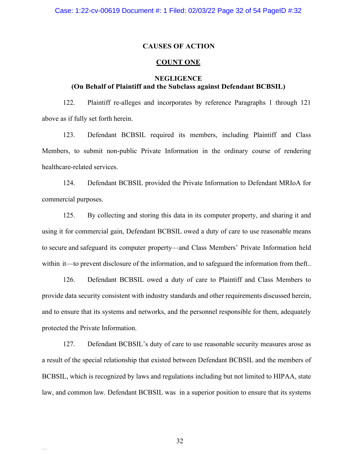### **CAUSES OF ACTION**

### **COUNT ONE**

# **NEGLIGENCE (On Behalf of Plaintiff and the Subclass against Defendant BCBSIL)**

122. Plaintiff re-alleges and incorporates by reference Paragraphs 1 through 121 above as if fully set forth herein.

123. Defendant BCBSIL required its members, including Plaintiff and Class Members, to submit non-public Private Information in the ordinary course of rendering healthcare-related services.

124. Defendant BCBSIL provided the Private Information to Defendant MRIoA for commercial purposes.

125. By collecting and storing this data in its computer property, and sharing it and using it for commercial gain, Defendant BCBSIL owed a duty of care to use reasonable means to secure and safeguard its computer property—and Class Members' Private Information held within it—to prevent disclosure of the information, and to safeguard the information from theft..

126. Defendant BCBSIL owed a duty of care to Plaintiff and Class Members to provide data security consistent with industry standards and other requirements discussed herein, and to ensure that its systems and networks, and the personnel responsible for them, adequately protected the Private Information.

127. Defendant BCBSIL's duty of care to use reasonable security measures arose as a result of the special relationship that existed between Defendant BCBSIL and the members of BCBSIL, which is recognized by laws and regulations including but not limited to HIPAA, state law, and common law. Defendant BCBSIL was in a superior position to ensure that its systems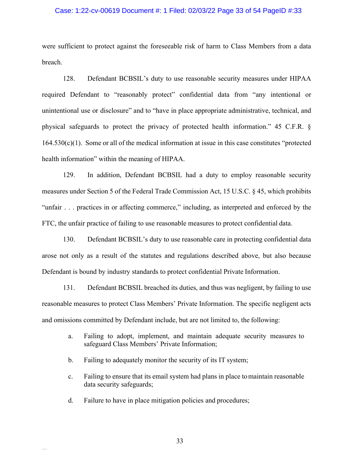#### Case: 1:22-cv-00619 Document #: 1 Filed: 02/03/22 Page 33 of 54 PageID #:33

were sufficient to protect against the foreseeable risk of harm to Class Members from a data breach.

128. Defendant BCBSIL's duty to use reasonable security measures under HIPAA required Defendant to "reasonably protect" confidential data from "any intentional or unintentional use or disclosure" and to "have in place appropriate administrative, technical, and physical safeguards to protect the privacy of protected health information." 45 C.F.R. §  $164.530(c)(1)$ . Some or all of the medical information at issue in this case constitutes "protected health information" within the meaning of HIPAA.

129. In addition, Defendant BCBSIL had a duty to employ reasonable security measures under Section 5 of the Federal Trade Commission Act, 15 U.S.C. § 45, which prohibits "unfair . . . practices in or affecting commerce," including, as interpreted and enforced by the FTC, the unfair practice of failing to use reasonable measures to protect confidential data.

130. Defendant BCBSIL's duty to use reasonable care in protecting confidential data arose not only as a result of the statutes and regulations described above, but also because Defendant is bound by industry standards to protect confidential Private Information.

131. Defendant BCBSIL breached its duties, and thus was negligent, by failing to use reasonable measures to protect Class Members' Private Information. The specific negligent acts and omissions committed by Defendant include, but are not limited to, the following:

- a. Failing to adopt, implement, and maintain adequate security measures to safeguard Class Members' Private Information;
- b. Failing to adequately monitor the security of its IT system;
- c. Failing to ensure that its email system had plans in place tomaintain reasonable data security safeguards;
- d. Failure to have in place mitigation policies and procedures;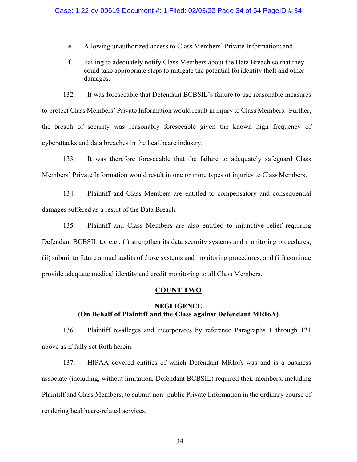#### Case: 1:22-cv-00619 Document #: 1 Filed: 02/03/22 Page 34 of 54 PageID #:34

- e. Allowing unauthorized access to Class Members' Private Information; and
- f. Failing to adequately notify Class Members about the Data Breach so that they could take appropriate steps to mitigate the potential foridentity theft and other damages.

132. It was foreseeable that Defendant BCBSIL's failure to use reasonable measures to protect Class Members' Private Information would result in injury to Class Members. Further, the breach of security was reasonably foreseeable given the known high frequency of cyberattacks and data breaches in the healthcare industry.

133. It was therefore foreseeable that the failure to adequately safeguard Class Members' Private Information would result in one or more types of injuries to Class Members.

134. Plaintiff and Class Members are entitled to compensatory and consequential damages suffered as a result of the Data Breach.

135. Plaintiff and Class Members are also entitled to injunctive relief requiring Defendant BCBSIL to, e.g., (i) strengthen its data security systems and monitoring procedures; (ii) submit to future annual audits of those systems and monitoring procedures; and (iii) continue provide adequate medical identity and credit monitoring to all Class Members.

#### **COUNT TWO**

## **NEGLIGENCE (On Behalf of Plaintiff and the Class against Defendant MRIoA)**

136. Plaintiff re-alleges and incorporates by reference Paragraphs 1 through 121 above as if fully set forth herein.

137. HIPAA covered entities of which Defendant MRIoA was and is a business associate (including, without limitation, Defendant BCBSIL) required their members, including Plaintiff and Class Members, to submit non- public Private Information in the ordinary course of rendering healthcare-related services.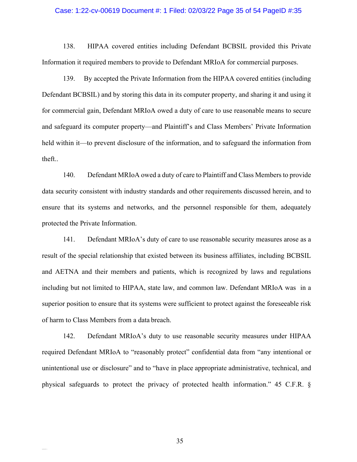#### Case: 1:22-cv-00619 Document #: 1 Filed: 02/03/22 Page 35 of 54 PageID #:35

138. HIPAA covered entities including Defendant BCBSIL provided this Private Information it required members to provide to Defendant MRIoA for commercial purposes.

139. By accepted the Private Information from the HIPAA covered entities (including Defendant BCBSIL) and by storing this data in its computer property, and sharing it and using it for commercial gain, Defendant MRIoA owed a duty of care to use reasonable means to secure and safeguard its computer property—and Plaintiff's and Class Members' Private Information held within it—to prevent disclosure of the information, and to safeguard the information from theft..

140. Defendant MRIoA owed a duty of care to Plaintiff and Class Members to provide data security consistent with industry standards and other requirements discussed herein, and to ensure that its systems and networks, and the personnel responsible for them, adequately protected the Private Information.

141. Defendant MRIoA's duty of care to use reasonable security measures arose as a result of the special relationship that existed between its business affiliates, including BCBSIL and AETNA and their members and patients, which is recognized by laws and regulations including but not limited to HIPAA, state law, and common law. Defendant MRIoA was in a superior position to ensure that its systems were sufficient to protect against the foreseeable risk of harm to Class Members from a data breach.

142. Defendant MRIoA's duty to use reasonable security measures under HIPAA required Defendant MRIoA to "reasonably protect" confidential data from "any intentional or unintentional use or disclosure" and to "have in place appropriate administrative, technical, and physical safeguards to protect the privacy of protected health information." 45 C.F.R. §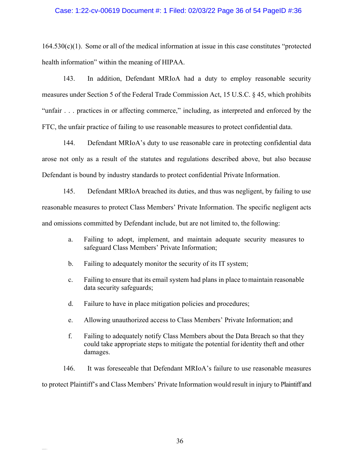### Case: 1:22-cv-00619 Document #: 1 Filed: 02/03/22 Page 36 of 54 PageID #:36

 $164.530(c)(1)$ . Some or all of the medical information at issue in this case constitutes "protected health information" within the meaning of HIPAA.

143. In addition, Defendant MRIoA had a duty to employ reasonable security measures under Section 5 of the Federal Trade Commission Act, 15 U.S.C. § 45, which prohibits "unfair . . . practices in or affecting commerce," including, as interpreted and enforced by the FTC, the unfair practice of failing to use reasonable measures to protect confidential data.

144. Defendant MRIoA's duty to use reasonable care in protecting confidential data arose not only as a result of the statutes and regulations described above, but also because Defendant is bound by industry standards to protect confidential Private Information.

145. Defendant MRIoA breached its duties, and thus was negligent, by failing to use reasonable measures to protect Class Members' Private Information. The specific negligent acts and omissions committed by Defendant include, but are not limited to, the following:

- a. Failing to adopt, implement, and maintain adequate security measures to safeguard Class Members' Private Information;
- b. Failing to adequately monitor the security of its IT system;
- c. Failing to ensure that its email system had plans in place tomaintain reasonable data security safeguards;
- d. Failure to have in place mitigation policies and procedures;
- e. Allowing unauthorized access to Class Members' Private Information; and
- f. Failing to adequately notify Class Members about the Data Breach so that they could take appropriate steps to mitigate the potential foridentity theft and other damages.

146. It was foreseeable that Defendant MRIoA's failure to use reasonable measures to protect Plaintiff's and Class Members' Private Information would result in injury to Plaintiff and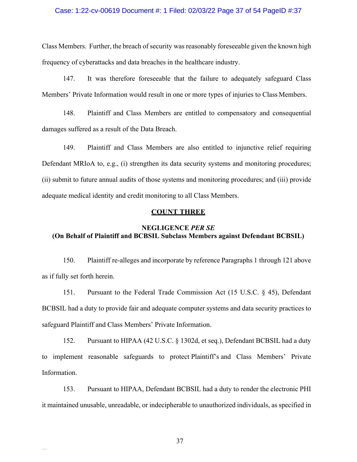### Case: 1:22-cv-00619 Document #: 1 Filed: 02/03/22 Page 37 of 54 PageID #:37

Class Members. Further, the breach of security was reasonably foreseeable given the known high frequency of cyberattacks and data breaches in the healthcare industry.

147. It was therefore foreseeable that the failure to adequately safeguard Class Members' Private Information would result in one or more types of injuries to Class Members.

148. Plaintiff and Class Members are entitled to compensatory and consequential damages suffered as a result of the Data Breach.

149. Plaintiff and Class Members are also entitled to injunctive relief requiring Defendant MRIoA to, e.g., (i) strengthen its data security systems and monitoring procedures; (ii) submit to future annual audits of those systems and monitoring procedures; and (iii) provide adequate medical identity and credit monitoring to all Class Members.

### **COUNT THREE**

# **NEGLIGENCE** *PER SE* **(On Behalf of Plaintiff and BCBSIL Subclass Members against Defendant BCBSIL)**

150. Plaintiff re-alleges and incorporate by reference Paragraphs 1 through 121 above as if fully set forth herein.

151. Pursuant to the Federal Trade Commission Act (15 U.S.C. § 45), Defendant BCBSIL had a duty to provide fair and adequate computer systems and data security practices to safeguard Plaintiff and Class Members' Private Information.

152. Pursuant to HIPAA (42 U.S.C. § 1302d, et seq.), Defendant BCBSIL had a duty to implement reasonable safeguards to protect Plaintiff's and Class Members' Private Information.

153. Pursuant to HIPAA, Defendant BCBSIL had a duty to render the electronic PHI it maintained unusable, unreadable, or indecipherable to unauthorized individuals, as specified in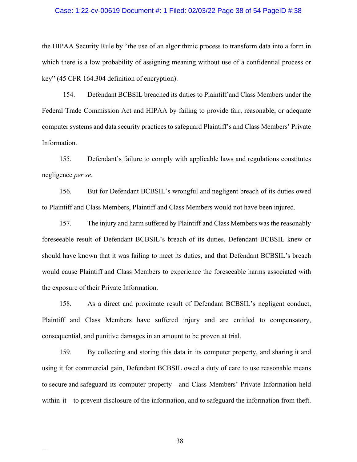#### Case: 1:22-cv-00619 Document #: 1 Filed: 02/03/22 Page 38 of 54 PageID #:38

the HIPAA Security Rule by "the use of an algorithmic process to transform data into a form in which there is a low probability of assigning meaning without use of a confidential process or key" (45 CFR 164.304 definition of encryption).

154. Defendant BCBSIL breached its duties to Plaintiff and Class Members under the Federal Trade Commission Act and HIPAA by failing to provide fair, reasonable, or adequate computer systems and data security practices to safeguard Plaintiff's and Class Members' Private Information.

155. Defendant's failure to comply with applicable laws and regulations constitutes negligence *per se*.

156. But for Defendant BCBSIL's wrongful and negligent breach of its duties owed to Plaintiff and Class Members, Plaintiff and Class Members would not have been injured.

157. The injury and harm suffered by Plaintiff and Class Members was the reasonably foreseeable result of Defendant BCBSIL's breach of its duties. Defendant BCBSIL knew or should have known that it was failing to meet its duties, and that Defendant BCBSIL's breach would cause Plaintiff and Class Members to experience the foreseeable harms associated with the exposure of their Private Information.

158. As a direct and proximate result of Defendant BCBSIL's negligent conduct, Plaintiff and Class Members have suffered injury and are entitled to compensatory, consequential, and punitive damages in an amount to be proven at trial.

159. By collecting and storing this data in its computer property, and sharing it and using it for commercial gain, Defendant BCBSIL owed a duty of care to use reasonable means to secure and safeguard its computer property—and Class Members' Private Information held within it—to prevent disclosure of the information, and to safeguard the information from theft.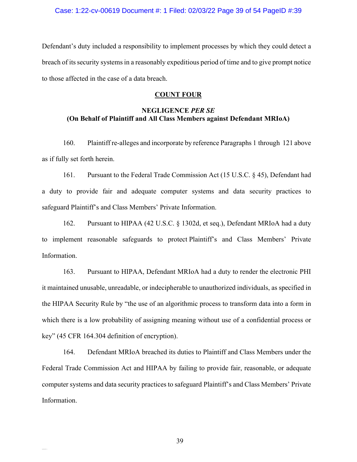Defendant's duty included a responsibility to implement processes by which they could detect a breach of its security systems in a reasonably expeditious period of time and to give prompt notice to those affected in the case of a data breach.

#### **COUNT FOUR**

# **NEGLIGENCE** *PER SE* **(On Behalf of Plaintiff and All Class Members against Defendant MRIoA)**

160. Plaintiff re-alleges and incorporate by reference Paragraphs 1 through 121 above as if fully set forth herein.

161. Pursuant to the Federal Trade Commission Act (15 U.S.C. § 45), Defendant had a duty to provide fair and adequate computer systems and data security practices to safeguard Plaintiff's and Class Members' Private Information.

162. Pursuant to HIPAA (42 U.S.C. § 1302d, et seq.), Defendant MRIoA had a duty to implement reasonable safeguards to protect Plaintiff's and Class Members' Private Information.

163. Pursuant to HIPAA, Defendant MRIoA had a duty to render the electronic PHI it maintained unusable, unreadable, or indecipherable to unauthorized individuals, as specified in the HIPAA Security Rule by "the use of an algorithmic process to transform data into a form in which there is a low probability of assigning meaning without use of a confidential process or key" (45 CFR 164.304 definition of encryption).

164. Defendant MRIoA breached its duties to Plaintiff and Class Members under the Federal Trade Commission Act and HIPAA by failing to provide fair, reasonable, or adequate computer systems and data security practices to safeguard Plaintiff's and Class Members' Private Information.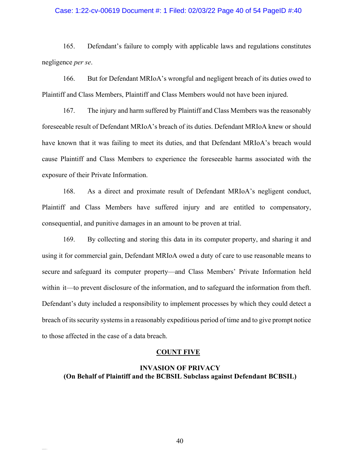#### Case: 1:22-cv-00619 Document #: 1 Filed: 02/03/22 Page 40 of 54 PageID #:40

165. Defendant's failure to comply with applicable laws and regulations constitutes negligence *per se*.

166. But for Defendant MRIoA's wrongful and negligent breach of its duties owed to Plaintiff and Class Members, Plaintiff and Class Members would not have been injured.

167. The injury and harm suffered by Plaintiff and Class Members was the reasonably foreseeable result of Defendant MRIoA's breach of its duties. Defendant MRIoA knew or should have known that it was failing to meet its duties, and that Defendant MRIoA's breach would cause Plaintiff and Class Members to experience the foreseeable harms associated with the exposure of their Private Information.

168. As a direct and proximate result of Defendant MRIoA's negligent conduct, Plaintiff and Class Members have suffered injury and are entitled to compensatory, consequential, and punitive damages in an amount to be proven at trial.

169. By collecting and storing this data in its computer property, and sharing it and using it for commercial gain, Defendant MRIoA owed a duty of care to use reasonable means to secure and safeguard its computer property—and Class Members' Private Information held within it—to prevent disclosure of the information, and to safeguard the information from theft. Defendant's duty included a responsibility to implement processes by which they could detect a breach of its security systems in a reasonably expeditious period of time and to give prompt notice to those affected in the case of a data breach.

#### **COUNT FIVE**

## **INVASION OF PRIVACY (On Behalf of Plaintiff and the BCBSIL Subclass against Defendant BCBSIL)**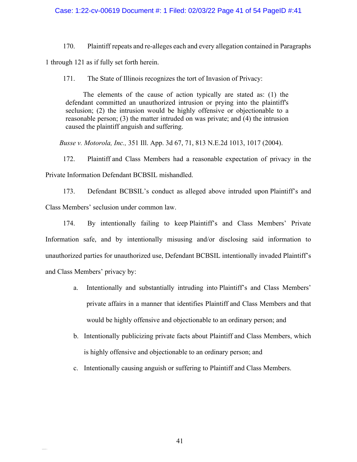### Case: 1:22-cv-00619 Document #: 1 Filed: 02/03/22 Page 41 of 54 PageID #:41

170. Plaintiff repeats and re-alleges each and every allegation contained in Paragraphs 1 through 121 as if fully set forth herein.

171. The State of Illinois recognizes the tort of Invasion of Privacy:

The elements of the cause of action typically are stated as: (1) the defendant committed an unauthorized intrusion or prying into the plaintiff's seclusion; (2) the intrusion would be highly offensive or objectionable to a reasonable person; (3) the matter intruded on was private; and (4) the intrusion caused the plaintiff anguish and suffering.

*Busse v. Motorola, Inc.,* 351 Ill. App. 3d 67, 71, 813 N.E.2d 1013, 1017 (2004).

172. Plaintiff and Class Members had a reasonable expectation of privacy in the Private Information Defendant BCBSIL mishandled.

173. Defendant BCBSIL's conduct as alleged above intruded upon Plaintiff's and Class Members' seclusion under common law.

174. By intentionally failing to keep Plaintiff's and Class Members' Private Information safe, and by intentionally misusing and/or disclosing said information to unauthorized parties for unauthorized use, Defendant BCBSIL intentionally invaded Plaintiff's and Class Members' privacy by:

- a. Intentionally and substantially intruding into Plaintiff's and Class Members' private affairs in a manner that identifies Plaintiff and Class Members and that would be highly offensive and objectionable to an ordinary person; and
- b. Intentionally publicizing private facts about Plaintiff and Class Members, which is highly offensive and objectionable to an ordinary person; and
- c. Intentionally causing anguish or suffering to Plaintiff and Class Members.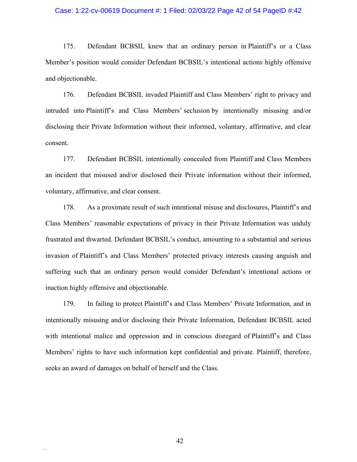#### Case: 1:22-cv-00619 Document #: 1 Filed: 02/03/22 Page 42 of 54 PageID #:42

175. Defendant BCBSIL knew that an ordinary person in Plaintiff's or a Class Member's position would consider Defendant BCBSIL's intentional actions highly offensive and objectionable.

176. Defendant BCBSIL invaded Plaintiff and Class Members' right to privacy and intruded into Plaintiff's and Class Members' seclusion by intentionally misusing and/or disclosing their Private Information without their informed, voluntary, affirmative, and clear consent.

177. Defendant BCBSIL intentionally concealed from Plaintiff and Class Members an incident that misused and/or disclosed their Private information without their informed, voluntary, affirmative, and clear consent.

178. As a proximate result of such intentional misuse and disclosures, Plaintiff's and Class Members' reasonable expectations of privacy in their Private Information was unduly frustrated and thwarted. Defendant BCBSIL's conduct, amounting to a substantial and serious invasion of Plaintiff's and Class Members' protected privacy interests causing anguish and suffering such that an ordinary person would consider Defendant's intentional actions or inaction highly offensive and objectionable.

179. In failing to protect Plaintiff's and Class Members' Private Information, and in intentionally misusing and/or disclosing their Private Information, Defendant BCBSIL acted with intentional malice and oppression and in conscious disregard of Plaintiff's and Class Members' rights to have such information kept confidential and private. Plaintiff, therefore, seeks an award of damages on behalf of herself and the Class.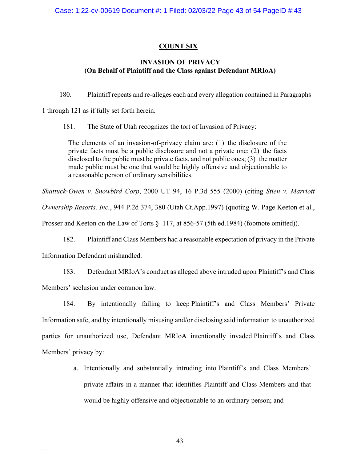# **COUNT SIX**

## **INVASION OF PRIVACY (On Behalf of Plaintiff and the Class against Defendant MRIoA)**

180. Plaintiff repeats and re-alleges each and every allegation contained in Paragraphs

1 through 121 as if fully set forth herein.

181. The State of Utah recognizes the tort of Invasion of Privacy:

The elements of an invasion-of-privacy claim are: (1) the disclosure of the private facts must be a public disclosure and not a private one; (2) the facts disclosed to the public must be private facts, and not public ones; (3) the matter made public must be one that would be highly offensive and objectionable to a reasonable person of ordinary sensibilities.

*Shattuck-Owen v. Snowbird Corp*, 2000 UT 94, 16 P.3d 555 (2000) (citing *Stien v. Marriott Ownership Resorts, Inc.*, 944 P.2d 374, 380 (Utah Ct.App.1997) (quoting W. Page Keeton et al., Prosser and Keeton on the Law of Torts § 117, at 856-57 (5th ed.1984) (footnote omitted)).

182. Plaintiff and Class Members had a reasonable expectation of privacy in the Private Information Defendant mishandled.

183. Defendant MRIoA's conduct as alleged above intruded upon Plaintiff's and Class Members' seclusion under common law.

184. By intentionally failing to keep Plaintiff's and Class Members' Private Information safe, and by intentionally misusing and/or disclosing said information to unauthorized parties for unauthorized use, Defendant MRIoA intentionally invaded Plaintiff's and Class Members' privacy by:

> a. Intentionally and substantially intruding into Plaintiff's and Class Members' private affairs in a manner that identifies Plaintiff and Class Members and that would be highly offensive and objectionable to an ordinary person; and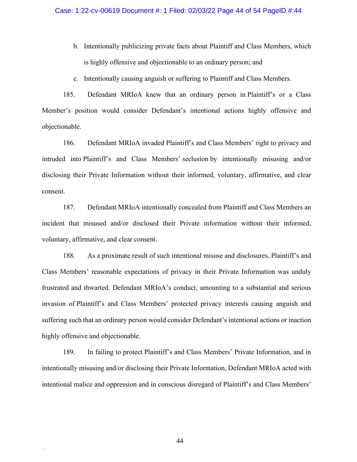- b. Intentionally publicizing private facts about Plaintiff and Class Members, which is highly offensive and objectionable to an ordinary person; and
- c. Intentionally causing anguish or suffering to Plaintiff and Class Members.

185. Defendant MRIoA knew that an ordinary person in Plaintiff's or a Class Member's position would consider Defendant's intentional actions highly offensive and objectionable.

186. Defendant MRIoA invaded Plaintiff's and Class Members' right to privacy and intruded into Plaintiff's and Class Members' seclusion by intentionally misusing and/or disclosing their Private Information without their informed, voluntary, affirmative, and clear consent.

187. Defendant MRIoA intentionally concealed from Plaintiff and Class Members an incident that misused and/or disclosed their Private information without their informed, voluntary, affirmative, and clear consent.

188. As a proximate result of such intentional misuse and disclosures, Plaintiff's and Class Members' reasonable expectations of privacy in their Private Information was unduly frustrated and thwarted. Defendant MRIoA's conduct, amounting to a substantial and serious invasion of Plaintiff's and Class Members' protected privacy interests causing anguish and suffering such that an ordinary person would consider Defendant's intentional actions or inaction highly offensive and objectionable.

189. In failing to protect Plaintiff's and Class Members' Private Information, and in intentionally misusing and/or disclosing their Private Information, Defendant MRIoA acted with intentional malice and oppression and in conscious disregard of Plaintiff's and Class Members'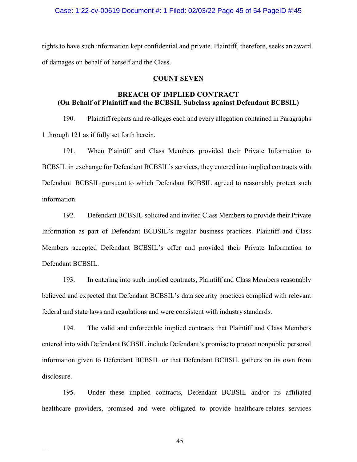#### Case: 1:22-cv-00619 Document #: 1 Filed: 02/03/22 Page 45 of 54 PageID #:45

rights to have such information kept confidential and private. Plaintiff, therefore, seeks an award of damages on behalf of herself and the Class.

#### **COUNT SEVEN**

# **BREACH OF IMPLIED CONTRACT (On Behalf of Plaintiff and the BCBSIL Subclass against Defendant BCBSIL)**

190. Plaintiff repeats and re-alleges each and every allegation contained in Paragraphs 1 through 121 as if fully set forth herein.

191. When Plaintiff and Class Members provided their Private Information to BCBSIL in exchange for Defendant BCBSIL's services, they entered into implied contracts with Defendant BCBSIL pursuant to which Defendant BCBSIL agreed to reasonably protect such information.

192. Defendant BCBSIL solicited and invited Class Members to provide their Private Information as part of Defendant BCBSIL's regular business practices. Plaintiff and Class Members accepted Defendant BCBSIL's offer and provided their Private Information to Defendant BCBSIL.

193. In entering into such implied contracts, Plaintiff and Class Members reasonably believed and expected that Defendant BCBSIL's data security practices complied with relevant federal and state laws and regulations and were consistent with industry standards.

194. The valid and enforceable implied contracts that Plaintiff and Class Members entered into with Defendant BCBSIL include Defendant's promise to protect nonpublic personal information given to Defendant BCBSIL or that Defendant BCBSIL gathers on its own from disclosure.

195. Under these implied contracts, Defendant BCBSIL and/or its affiliated healthcare providers, promised and were obligated to provide healthcare-relates services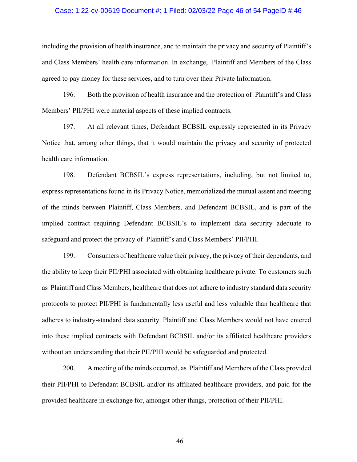#### Case: 1:22-cv-00619 Document #: 1 Filed: 02/03/22 Page 46 of 54 PageID #:46

including the provision of health insurance, and to maintain the privacy and security of Plaintiff's and Class Members' health care information. In exchange, Plaintiff and Members of the Class agreed to pay money for these services, and to turn over their Private Information.

196. Both the provision of health insurance and the protection of Plaintiff's and Class Members' PII/PHI were material aspects of these implied contracts.

197. At all relevant times, Defendant BCBSIL expressly represented in its Privacy Notice that, among other things, that it would maintain the privacy and security of protected health care information.

198. Defendant BCBSIL's express representations, including, but not limited to, express representations found in its Privacy Notice, memorialized the mutual assent and meeting of the minds between Plaintiff, Class Members, and Defendant BCBSIL, and is part of the implied contract requiring Defendant BCBSIL's to implement data security adequate to safeguard and protect the privacy of Plaintiff's and Class Members' PII/PHI.

199. Consumers of healthcare value their privacy, the privacy of their dependents, and the ability to keep their PII/PHI associated with obtaining healthcare private. To customers such as Plaintiff and Class Members, healthcare that does not adhere to industry standard data security protocols to protect PII/PHI is fundamentally less useful and less valuable than healthcare that adheres to industry-standard data security. Plaintiff and Class Members would not have entered into these implied contracts with Defendant BCBSIL and/or its affiliated healthcare providers without an understanding that their PII/PHI would be safeguarded and protected.

200. A meeting of the minds occurred, as Plaintiff and Members of the Class provided their PII/PHI to Defendant BCBSIL and/or its affiliated healthcare providers, and paid for the provided healthcare in exchange for, amongst other things, protection of their PII/PHI.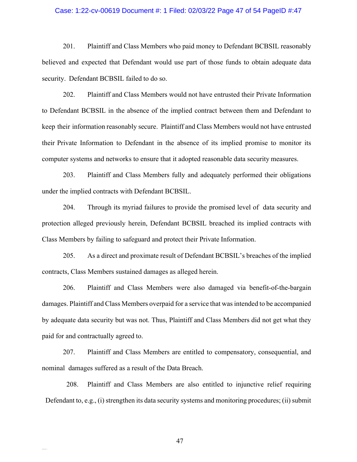#### Case: 1:22-cv-00619 Document #: 1 Filed: 02/03/22 Page 47 of 54 PageID #:47

201. Plaintiff and Class Members who paid money to Defendant BCBSIL reasonably believed and expected that Defendant would use part of those funds to obtain adequate data security. Defendant BCBSIL failed to do so.

202. Plaintiff and Class Members would not have entrusted their Private Information to Defendant BCBSIL in the absence of the implied contract between them and Defendant to keep their information reasonably secure. Plaintiff and Class Members would not have entrusted their Private Information to Defendant in the absence of its implied promise to monitor its computer systems and networks to ensure that it adopted reasonable data security measures.

203. Plaintiff and Class Members fully and adequately performed their obligations under the implied contracts with Defendant BCBSIL.

204. Through its myriad failures to provide the promised level of data security and protection alleged previously herein, Defendant BCBSIL breached its implied contracts with Class Members by failing to safeguard and protect their Private Information.

205. As a direct and proximate result of Defendant BCBSIL's breaches of the implied contracts, Class Members sustained damages as alleged herein.

206. Plaintiff and Class Members were also damaged via benefit-of-the-bargain damages. Plaintiff and Class Members overpaid for a service that was intended to be accompanied by adequate data security but was not. Thus, Plaintiff and Class Members did not get what they paid for and contractually agreed to.

207. Plaintiff and Class Members are entitled to compensatory, consequential, and nominal damages suffered as a result of the Data Breach.

208. Plaintiff and Class Members are also entitled to injunctive relief requiring Defendant to, e.g., (i) strengthen its data security systems and monitoring procedures; (ii) submit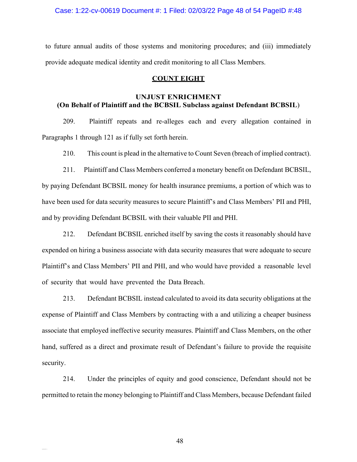Case: 1:22-cv-00619 Document #: 1 Filed: 02/03/22 Page 48 of 54 PageID #:48

to future annual audits of those systems and monitoring procedures; and (iii) immediately provide adequate medical identity and credit monitoring to all Class Members.

## **COUNT EIGHT**

# **UNJUST ENRICHMENT (On Behalf of Plaintiff and the BCBSIL Subclass against Defendant BCBSIL**)

209. Plaintiff repeats and re-alleges each and every allegation contained in Paragraphs 1 through 121 as if fully set forth herein.

210. This count is plead in the alternative to Count Seven (breach of implied contract).

211. Plaintiff and Class Members conferred a monetary benefit on Defendant BCBSIL, by paying Defendant BCBSIL money for health insurance premiums, a portion of which was to have been used for data security measures to secure Plaintiff's and Class Members' PII and PHI, and by providing Defendant BCBSIL with their valuable PII and PHI.

212. Defendant BCBSIL enriched itself by saving the costs it reasonably should have expended on hiring a business associate with data security measures that were adequate to secure Plaintiff's and Class Members' PII and PHI, and who would have provided a reasonable level of security that would have prevented the Data Breach.

213. Defendant BCBSIL instead calculated to avoid its data security obligations at the expense of Plaintiff and Class Members by contracting with a and utilizing a cheaper business associate that employed ineffective security measures. Plaintiff and Class Members, on the other hand, suffered as a direct and proximate result of Defendant's failure to provide the requisite security.

214. Under the principles of equity and good conscience, Defendant should not be permitted to retain the money belonging to Plaintiff and Class Members, because Defendant failed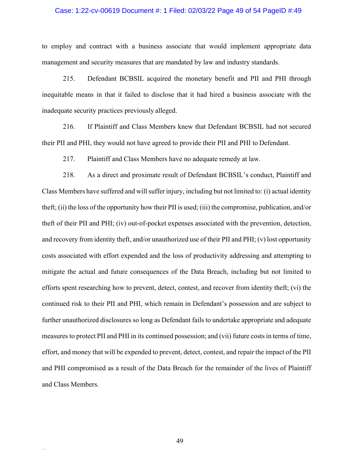#### Case: 1:22-cv-00619 Document #: 1 Filed: 02/03/22 Page 49 of 54 PageID #:49

to employ and contract with a business associate that would implement appropriate data management and security measures that are mandated by law and industry standards.

215. Defendant BCBSIL acquired the monetary benefit and PII and PHI through inequitable means in that it failed to disclose that it had hired a business associate with the inadequate security practices previously alleged.

216. If Plaintiff and Class Members knew that Defendant BCBSIL had not secured their PII and PHI, they would not have agreed to provide their PII and PHI to Defendant.

217. Plaintiff and Class Members have no adequate remedy at law.

218. As a direct and proximate result of Defendant BCBSIL's conduct, Plaintiff and Class Members have suffered and will suffer injury, including but not limited to: (i) actual identity theft; (ii) the loss of the opportunity how their PII is used; (iii) the compromise, publication, and/or theft of their PII and PHI; (iv) out-of-pocket expenses associated with the prevention, detection, and recovery from identity theft, and/or unauthorized use of their PII and PHI; (v) lost opportunity costs associated with effort expended and the loss of productivity addressing and attempting to mitigate the actual and future consequences of the Data Breach, including but not limited to efforts spent researching how to prevent, detect, contest, and recover from identity theft; (vi) the continued risk to their PII and PHI, which remain in Defendant's possession and are subject to further unauthorized disclosures so long as Defendant fails to undertake appropriate and adequate measures to protect PII and PHI in its continued possession; and (vii) future costsin terms of time, effort, and money that will be expended to prevent, detect, contest, and repair the impact of the PII and PHI compromised as a result of the Data Breach for the remainder of the lives of Plaintiff and Class Members.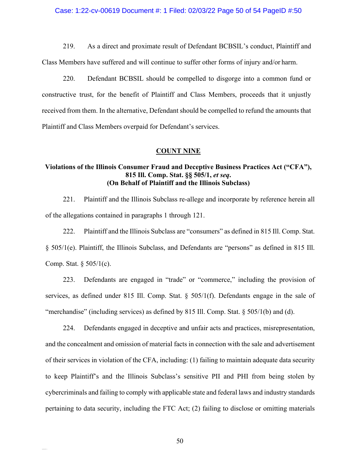## Case: 1:22-cv-00619 Document #: 1 Filed: 02/03/22 Page 50 of 54 PageID #:50

219. As a direct and proximate result of Defendant BCBSIL's conduct, Plaintiff and

Class Members have suffered and will continue to suffer other forms of injury and/or harm.

220. Defendant BCBSIL should be compelled to disgorge into a common fund or constructive trust, for the benefit of Plaintiff and Class Members, proceeds that it unjustly received from them. In the alternative, Defendant should be compelled to refund the amounts that Plaintiff and Class Members overpaid for Defendant's services.

#### **COUNT NINE**

# **Violations of the Illinois Consumer Fraud and Deceptive Business Practices Act ("CFA"), 815 Ill. Comp. Stat. §§ 505/1,** *et seq***. (On Behalf of Plaintiff and the Illinois Subclass)**

221. Plaintiff and the Illinois Subclass re-allege and incorporate by reference herein all of the allegations contained in paragraphs 1 through 121.

222. Plaintiff and the Illinois Subclass are "consumers" as defined in 815 Ill. Comp. Stat. § 505/1(e). Plaintiff, the Illinois Subclass, and Defendants are "persons" as defined in 815 Ill. Comp. Stat. § 505/1(c).

223. Defendants are engaged in "trade" or "commerce," including the provision of services, as defined under 815 Ill. Comp. Stat. § 505/1(f). Defendants engage in the sale of "merchandise" (including services) as defined by 815 Ill. Comp. Stat. § 505/1(b) and (d).

224. Defendants engaged in deceptive and unfair acts and practices, misrepresentation, and the concealment and omission of material facts in connection with the sale and advertisement of their services in violation of the CFA, including: (1) failing to maintain adequate data security to keep Plaintiff's and the Illinois Subclass's sensitive PII and PHI from being stolen by cybercriminals and failing to comply with applicable state and federal laws and industry standards pertaining to data security, including the FTC Act; (2) failing to disclose or omitting materials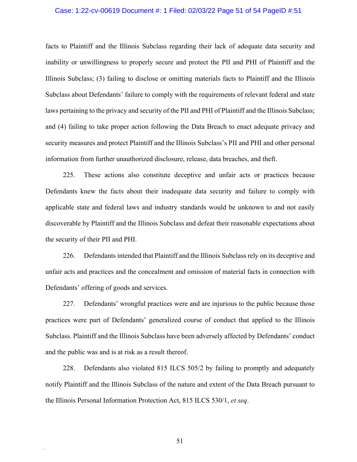#### Case: 1:22-cv-00619 Document #: 1 Filed: 02/03/22 Page 51 of 54 PageID #:51

facts to Plaintiff and the Illinois Subclass regarding their lack of adequate data security and inability or unwillingness to properly secure and protect the PII and PHI of Plaintiff and the Illinois Subclass; (3) failing to disclose or omitting materials facts to Plaintiff and the Illinois Subclass about Defendants' failure to comply with the requirements of relevant federal and state laws pertaining to the privacy and security of the PII and PHI of Plaintiff and the Illinois Subclass; and (4) failing to take proper action following the Data Breach to enact adequate privacy and security measures and protect Plaintiff and the Illinois Subclass's PII and PHI and other personal information from further unauthorized disclosure, release, data breaches, and theft.

225. These actions also constitute deceptive and unfair acts or practices because Defendants knew the facts about their inadequate data security and failure to comply with applicable state and federal laws and industry standards would be unknown to and not easily discoverable by Plaintiff and the Illinois Subclass and defeat their reasonable expectations about the security of their PII and PHI.

226. Defendants intended that Plaintiff and the Illinois Subclass rely on its deceptive and unfair acts and practices and the concealment and omission of material facts in connection with Defendants' offering of goods and services.

227. Defendants' wrongful practices were and are injurious to the public because those practices were part of Defendants' generalized course of conduct that applied to the Illinois Subclass. Plaintiff and the Illinois Subclass have been adversely affected by Defendants' conduct and the public was and is at risk as a result thereof.

228. Defendants also violated 815 ILCS 505/2 by failing to promptly and adequately notify Plaintiff and the Illinois Subclass of the nature and extent of the Data Breach pursuant to the Illinois Personal Information Protection Act, 815 ILCS 530/1, *et seq*.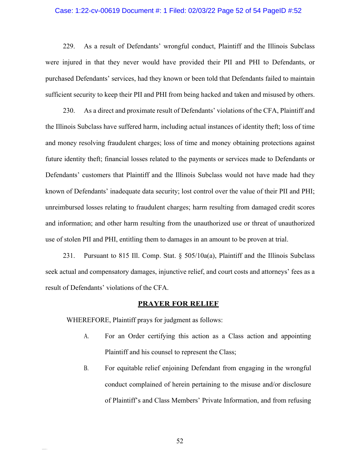## Case: 1:22-cv-00619 Document #: 1 Filed: 02/03/22 Page 52 of 54 PageID #:52

229. As a result of Defendants' wrongful conduct, Plaintiff and the Illinois Subclass were injured in that they never would have provided their PII and PHI to Defendants, or purchased Defendants' services, had they known or been told that Defendants failed to maintain sufficient security to keep their PII and PHI from being hacked and taken and misused by others.

230. As a direct and proximate result of Defendants' violations of the CFA, Plaintiff and the Illinois Subclass have suffered harm, including actual instances of identity theft; loss of time and money resolving fraudulent charges; loss of time and money obtaining protections against future identity theft; financial losses related to the payments or services made to Defendants or Defendants' customers that Plaintiff and the Illinois Subclass would not have made had they known of Defendants' inadequate data security; lost control over the value of their PII and PHI; unreimbursed losses relating to fraudulent charges; harm resulting from damaged credit scores and information; and other harm resulting from the unauthorized use or threat of unauthorized use of stolen PII and PHI, entitling them to damages in an amount to be proven at trial.

231. Pursuant to 815 Ill. Comp. Stat. § 505/10a(a), Plaintiff and the Illinois Subclass seek actual and compensatory damages, injunctive relief, and court costs and attorneys' fees as a result of Defendants' violations of the CFA.

#### **PRAYER FOR RELIEF**

WHEREFORE, Plaintiff prays for judgment as follows:

- A. For an Order certifying this action as a Class action and appointing Plaintiff and his counsel to represent the Class;
- B. For equitable relief enjoining Defendant from engaging in the wrongful conduct complained of herein pertaining to the misuse and/or disclosure of Plaintiff's and Class Members' Private Information, and from refusing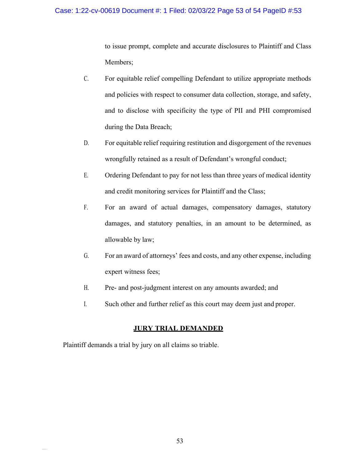## Case: 1:22-cv-00619 Document #: 1 Filed: 02/03/22 Page 53 of 54 PageID #:53

to issue prompt, complete and accurate disclosures to Plaintiff and Class Members;

- C. For equitable relief compelling Defendant to utilize appropriate methods and policies with respect to consumer data collection, storage, and safety, and to disclose with specificity the type of PII and PHI compromised during the Data Breach;
- D. For equitable relief requiring restitution and disgorgement of the revenues wrongfully retained as a result of Defendant's wrongful conduct;
- E. Ordering Defendant to pay for not less than three years of medical identity and credit monitoring services for Plaintiff and the Class;
- F. For an award of actual damages, compensatory damages, statutory damages, and statutory penalties, in an amount to be determined, as allowable by law;
- G. For an award of attorneys' fees and costs, and any other expense, including expert witness fees;
- H. Pre- and post-judgment interest on any amounts awarded; and
- I. Such other and further relief as this court may deem just and proper.

## **JURY TRIAL DEMANDED**

Plaintiff demands a trial by jury on all claims so triable.